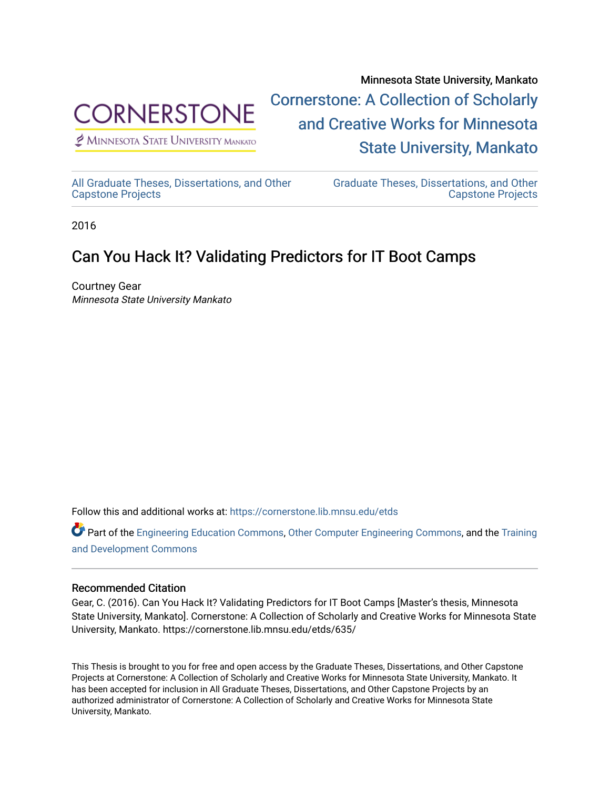

 $<sup>2</sup>$  Minnesota State University Mankato</sup>

Minnesota State University, Mankato [Cornerstone: A Collection of Scholarly](https://cornerstone.lib.mnsu.edu/)  [and Creative Works for Minnesota](https://cornerstone.lib.mnsu.edu/)  [State University, Mankato](https://cornerstone.lib.mnsu.edu/) 

[All Graduate Theses, Dissertations, and Other](https://cornerstone.lib.mnsu.edu/etds)  [Capstone Projects](https://cornerstone.lib.mnsu.edu/etds) 

[Graduate Theses, Dissertations, and Other](https://cornerstone.lib.mnsu.edu/theses_dissertations-capstone)  [Capstone Projects](https://cornerstone.lib.mnsu.edu/theses_dissertations-capstone) 

2016

# Can You Hack It? Validating Predictors for IT Boot Camps

Courtney Gear Minnesota State University Mankato

Follow this and additional works at: [https://cornerstone.lib.mnsu.edu/etds](https://cornerstone.lib.mnsu.edu/etds?utm_source=cornerstone.lib.mnsu.edu%2Fetds%2F635&utm_medium=PDF&utm_campaign=PDFCoverPages) 

Part of the [Engineering Education Commons,](http://network.bepress.com/hgg/discipline/1191?utm_source=cornerstone.lib.mnsu.edu%2Fetds%2F635&utm_medium=PDF&utm_campaign=PDFCoverPages) [Other Computer Engineering Commons,](http://network.bepress.com/hgg/discipline/265?utm_source=cornerstone.lib.mnsu.edu%2Fetds%2F635&utm_medium=PDF&utm_campaign=PDFCoverPages) and the [Training](http://network.bepress.com/hgg/discipline/1257?utm_source=cornerstone.lib.mnsu.edu%2Fetds%2F635&utm_medium=PDF&utm_campaign=PDFCoverPages) [and Development Commons](http://network.bepress.com/hgg/discipline/1257?utm_source=cornerstone.lib.mnsu.edu%2Fetds%2F635&utm_medium=PDF&utm_campaign=PDFCoverPages)

#### Recommended Citation

Gear, C. (2016). Can You Hack It? Validating Predictors for IT Boot Camps [Master's thesis, Minnesota State University, Mankato]. Cornerstone: A Collection of Scholarly and Creative Works for Minnesota State University, Mankato. https://cornerstone.lib.mnsu.edu/etds/635/

This Thesis is brought to you for free and open access by the Graduate Theses, Dissertations, and Other Capstone Projects at Cornerstone: A Collection of Scholarly and Creative Works for Minnesota State University, Mankato. It has been accepted for inclusion in All Graduate Theses, Dissertations, and Other Capstone Projects by an authorized administrator of Cornerstone: A Collection of Scholarly and Creative Works for Minnesota State University, Mankato.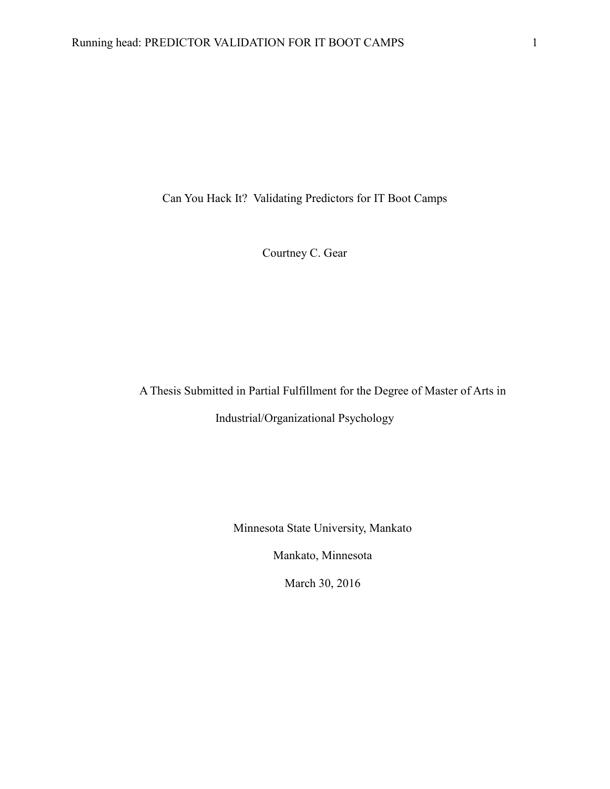Can You Hack It? Validating Predictors for IT Boot Camps

Courtney C. Gear

A Thesis Submitted in Partial Fulfillment for the Degree of Master of Arts in Industrial/Organizational Psychology

Minnesota State University, Mankato

Mankato, Minnesota

March 30, 2016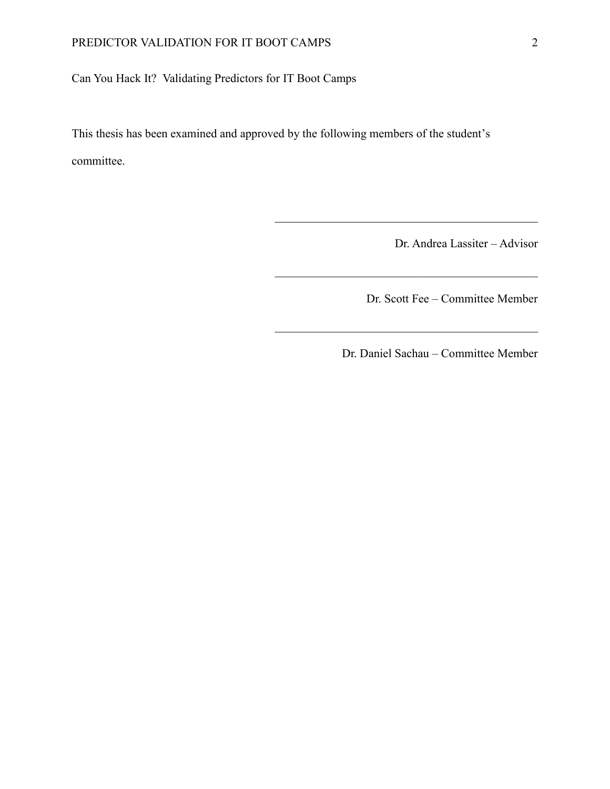Can You Hack It? Validating Predictors for IT Boot Camps

This thesis has been examined and approved by the following members of the student's committee.

Dr. Andrea Lassiter – Advisor

Dr. Scott Fee – Committee Member

Dr. Daniel Sachau – Committee Member

 $\mathcal{L}_\text{max}$  and  $\mathcal{L}_\text{max}$  and  $\mathcal{L}_\text{max}$  and  $\mathcal{L}_\text{max}$  and  $\mathcal{L}_\text{max}$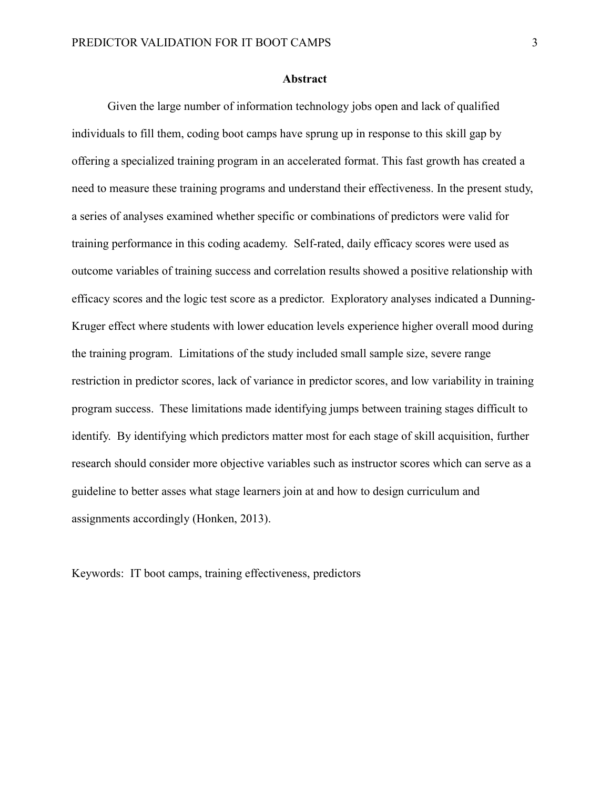#### **Abstract**

<span id="page-3-0"></span>Given the large number of information technology jobs open and lack of qualified individuals to fill them, coding boot camps have sprung up in response to this skill gap by offering a specialized training program in an accelerated format. This fast growth has created a need to measure these training programs and understand their effectiveness. In the present study, a series of analyses examined whether specific or combinations of predictors were valid for training performance in this coding academy. Self-rated, daily efficacy scores were used as outcome variables of training success and correlation results showed a positive relationship with efficacy scores and the logic test score as a predictor. Exploratory analyses indicated a Dunning-Kruger effect where students with lower education levels experience higher overall mood during the training program. Limitations of the study included small sample size, severe range restriction in predictor scores, lack of variance in predictor scores, and low variability in training program success. These limitations made identifying jumps between training stages difficult to identify. By identifying which predictors matter most for each stage of skill acquisition, further research should consider more objective variables such as instructor scores which can serve as a guideline to better asses what stage learners join at and how to design curriculum and assignments accordingly (Honken, 2013).

Keywords: IT boot camps, training effectiveness, predictors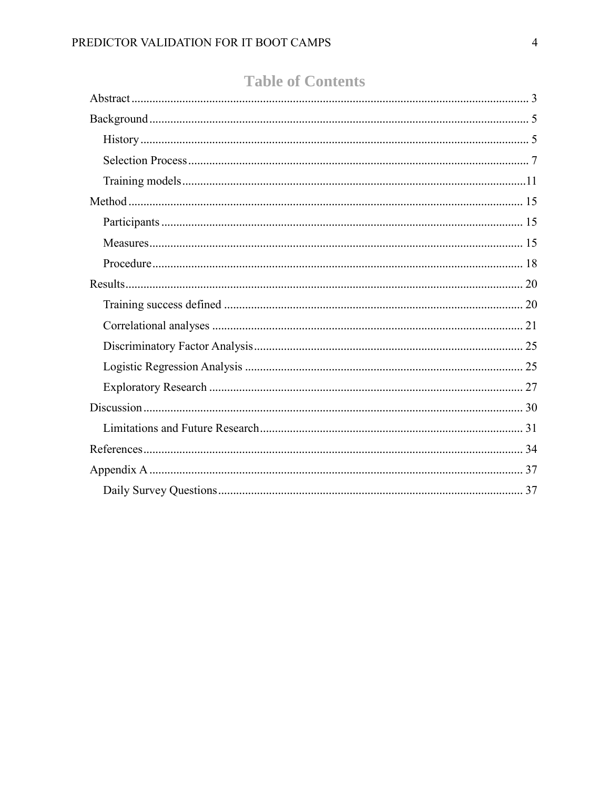# **Table of Contents**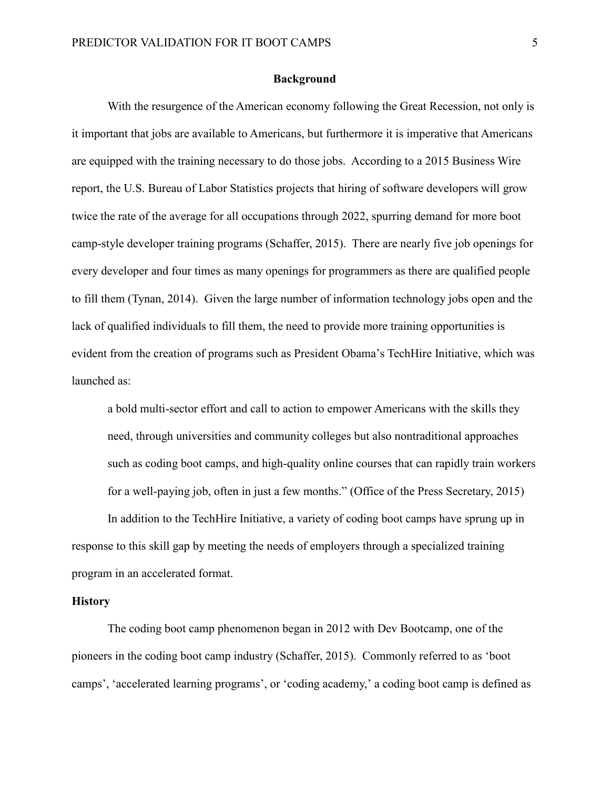#### **Background**

<span id="page-5-0"></span>With the resurgence of the American economy following the Great Recession, not only is it important that jobs are available to Americans, but furthermore it is imperative that Americans are equipped with the training necessary to do those jobs. According to a 2015 Business Wire report, the U.S. Bureau of Labor Statistics projects that hiring of software developers will grow twice the rate of the average for all occupations through 2022, spurring demand for more boot camp-style developer training programs (Schaffer, 2015). There are nearly five job openings for every developer and four times as many openings for programmers as there are qualified people to fill them (Tynan, 2014). Given the large number of information technology jobs open and the lack of qualified individuals to fill them, the need to provide more training opportunities is evident from the creation of programs such as President Obama's TechHire Initiative, which was launched as:

a bold multi-sector effort and call to action to empower Americans with the skills they need, through universities and community colleges but also nontraditional approaches such as coding boot camps, and high-quality online courses that can rapidly train workers for a well-paying job, often in just a few months." (Office of the Press Secretary, 2015) In addition to the TechHire Initiative, a variety of coding boot camps have sprung up in response to this skill gap by meeting the needs of employers through a specialized training program in an accelerated format.

#### <span id="page-5-1"></span>**History**

The coding boot camp phenomenon began in 2012 with Dev Bootcamp, one of the pioneers in the coding boot camp industry (Schaffer, 2015). Commonly referred to as 'boot camps', 'accelerated learning programs', or 'coding academy,' a coding boot camp is defined as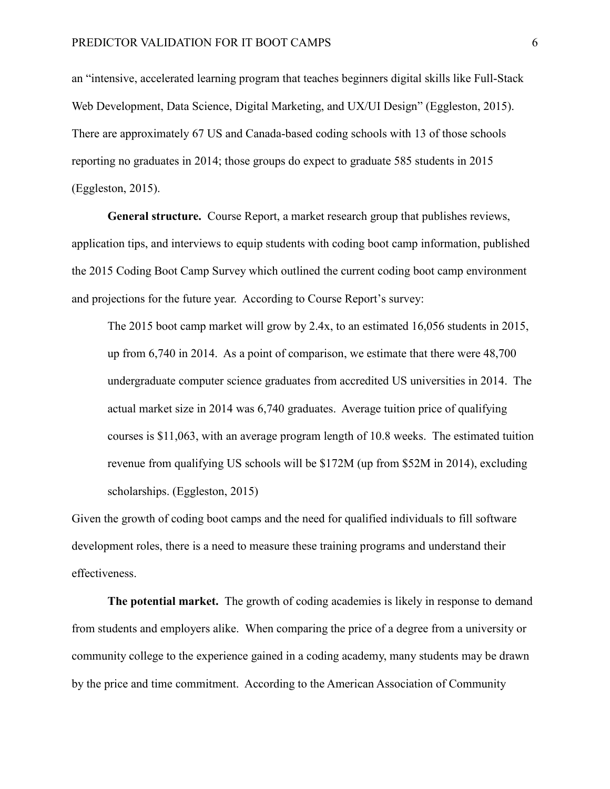an "intensive, accelerated learning program that teaches beginners digital skills like Full-Stack Web Development, Data Science, Digital Marketing, and UX/UI Design" (Eggleston, 2015). There are approximately 67 US and Canada-based coding schools with 13 of those schools reporting no graduates in 2014; those groups do expect to graduate 585 students in 2015 (Eggleston, 2015).

**General structure.** Course Report, a market research group that publishes reviews, application tips, and interviews to equip students with coding boot camp information, published the 2015 Coding Boot Camp Survey which outlined the current coding boot camp environment and projections for the future year. According to Course Report's survey:

The 2015 boot camp market will grow by 2.4x, to an estimated 16,056 students in 2015, up from 6,740 in 2014. As a point of comparison, we estimate that there were 48,700 undergraduate computer science graduates from accredited US universities in 2014. The actual market size in 2014 was 6,740 graduates. Average tuition price of qualifying courses is \$11,063, with an average program length of 10.8 weeks. The estimated tuition revenue from qualifying US schools will be \$172M (up from \$52M in 2014), excluding scholarships. (Eggleston, 2015)

Given the growth of coding boot camps and the need for qualified individuals to fill software development roles, there is a need to measure these training programs and understand their effectiveness.

**The potential market.** The growth of coding academies is likely in response to demand from students and employers alike. When comparing the price of a degree from a university or community college to the experience gained in a coding academy, many students may be drawn by the price and time commitment. According to the American Association of Community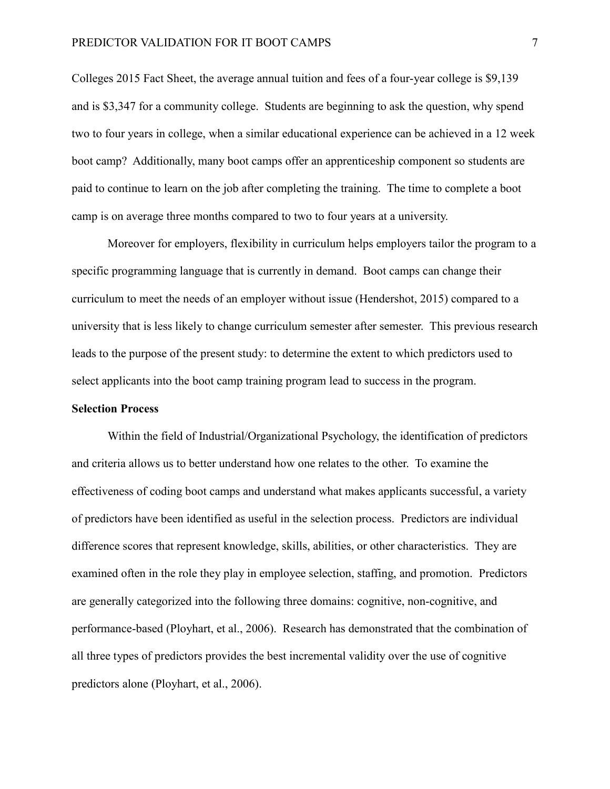Colleges 2015 Fact Sheet, the average annual tuition and fees of a four-year college is \$9,139 and is \$3,347 for a community college. Students are beginning to ask the question, why spend two to four years in college, when a similar educational experience can be achieved in a 12 week boot camp? Additionally, many boot camps offer an apprenticeship component so students are paid to continue to learn on the job after completing the training. The time to complete a boot camp is on average three months compared to two to four years at a university.

Moreover for employers, flexibility in curriculum helps employers tailor the program to a specific programming language that is currently in demand. Boot camps can change their curriculum to meet the needs of an employer without issue (Hendershot, 2015) compared to a university that is less likely to change curriculum semester after semester. This previous research leads to the purpose of the present study: to determine the extent to which predictors used to select applicants into the boot camp training program lead to success in the program.

#### <span id="page-7-0"></span>**Selection Process**

Within the field of Industrial/Organizational Psychology, the identification of predictors and criteria allows us to better understand how one relates to the other. To examine the effectiveness of coding boot camps and understand what makes applicants successful, a variety of predictors have been identified as useful in the selection process. Predictors are individual difference scores that represent knowledge, skills, abilities, or other characteristics. They are examined often in the role they play in employee selection, staffing, and promotion. Predictors are generally categorized into the following three domains: cognitive, non-cognitive, and performance-based (Ployhart, et al., 2006). Research has demonstrated that the combination of all three types of predictors provides the best incremental validity over the use of cognitive predictors alone (Ployhart, et al., 2006).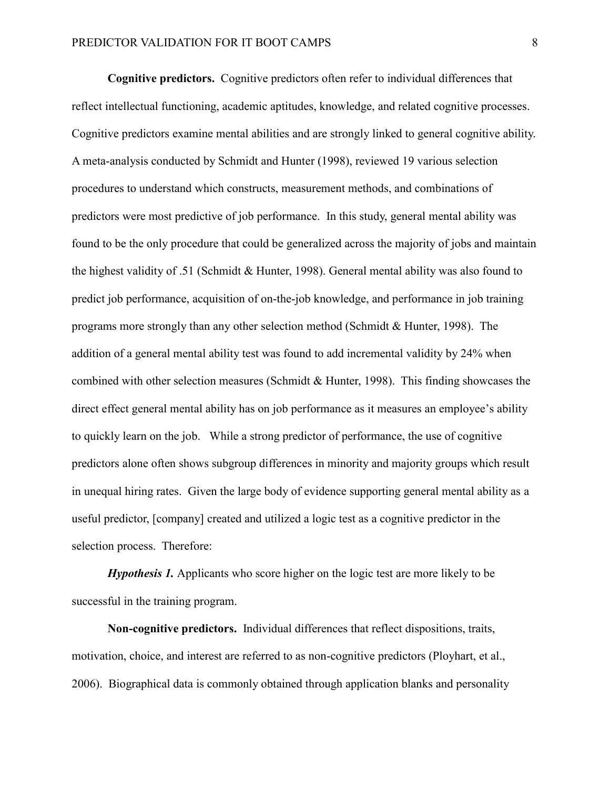**Cognitive predictors.** Cognitive predictors often refer to individual differences that reflect intellectual functioning, academic aptitudes, knowledge, and related cognitive processes. Cognitive predictors examine mental abilities and are strongly linked to general cognitive ability. A meta-analysis conducted by Schmidt and Hunter (1998), reviewed 19 various selection procedures to understand which constructs, measurement methods, and combinations of predictors were most predictive of job performance. In this study, general mental ability was found to be the only procedure that could be generalized across the majority of jobs and maintain the highest validity of .51 (Schmidt & Hunter, 1998). General mental ability was also found to predict job performance, acquisition of on-the-job knowledge, and performance in job training programs more strongly than any other selection method (Schmidt & Hunter, 1998). The addition of a general mental ability test was found to add incremental validity by 24% when combined with other selection measures (Schmidt & Hunter, 1998). This finding showcases the direct effect general mental ability has on job performance as it measures an employee's ability to quickly learn on the job. While a strong predictor of performance, the use of cognitive predictors alone often shows subgroup differences in minority and majority groups which result in unequal hiring rates. Given the large body of evidence supporting general mental ability as a useful predictor, [company] created and utilized a logic test as a cognitive predictor in the selection process. Therefore:

*Hypothesis 1.* Applicants who score higher on the logic test are more likely to be successful in the training program.

**Non-cognitive predictors.** Individual differences that reflect dispositions, traits, motivation, choice, and interest are referred to as non-cognitive predictors (Ployhart, et al., 2006). Biographical data is commonly obtained through application blanks and personality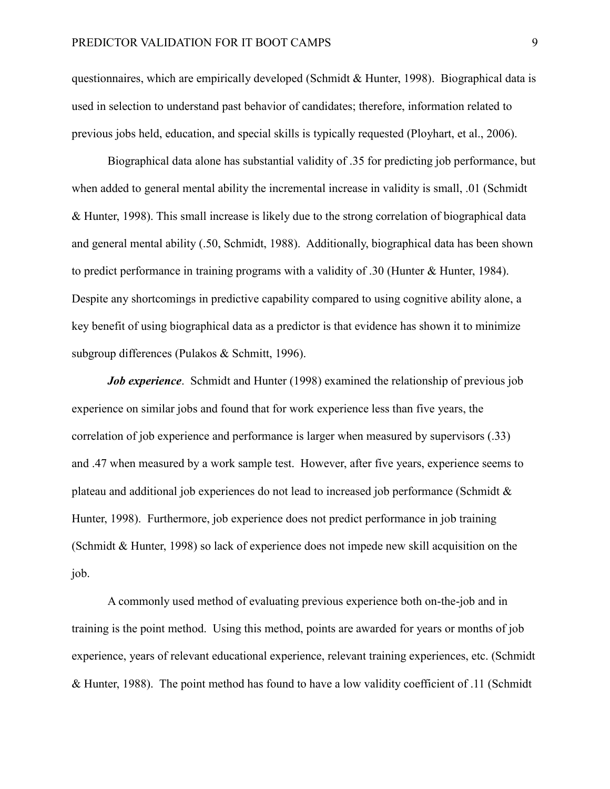questionnaires, which are empirically developed (Schmidt & Hunter, 1998). Biographical data is used in selection to understand past behavior of candidates; therefore, information related to previous jobs held, education, and special skills is typically requested (Ployhart, et al., 2006).

Biographical data alone has substantial validity of .35 for predicting job performance, but when added to general mental ability the incremental increase in validity is small, .01 (Schmidt & Hunter, 1998). This small increase is likely due to the strong correlation of biographical data and general mental ability (.50, Schmidt, 1988). Additionally, biographical data has been shown to predict performance in training programs with a validity of .30 (Hunter & Hunter, 1984). Despite any shortcomings in predictive capability compared to using cognitive ability alone, a key benefit of using biographical data as a predictor is that evidence has shown it to minimize subgroup differences (Pulakos & Schmitt, 1996).

*Job experience*. Schmidt and Hunter (1998) examined the relationship of previous job experience on similar jobs and found that for work experience less than five years, the correlation of job experience and performance is larger when measured by supervisors (.33) and .47 when measured by a work sample test. However, after five years, experience seems to plateau and additional job experiences do not lead to increased job performance (Schmidt & Hunter, 1998). Furthermore, job experience does not predict performance in job training (Schmidt & Hunter, 1998) so lack of experience does not impede new skill acquisition on the job.

A commonly used method of evaluating previous experience both on-the-job and in training is the point method. Using this method, points are awarded for years or months of job experience, years of relevant educational experience, relevant training experiences, etc. (Schmidt & Hunter, 1988). The point method has found to have a low validity coefficient of .11 (Schmidt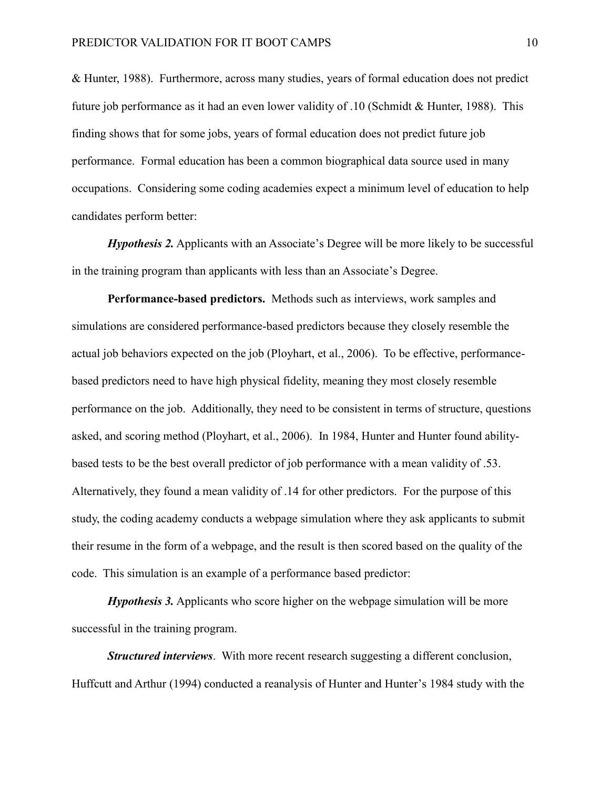& Hunter, 1988). Furthermore, across many studies, years of formal education does not predict future job performance as it had an even lower validity of .10 (Schmidt & Hunter, 1988). This finding shows that for some jobs, years of formal education does not predict future job performance. Formal education has been a common biographical data source used in many occupations. Considering some coding academies expect a minimum level of education to help candidates perform better:

*Hypothesis 2.* Applicants with an Associate's Degree will be more likely to be successful in the training program than applicants with less than an Associate's Degree.

**Performance-based predictors.** Methods such as interviews, work samples and simulations are considered performance-based predictors because they closely resemble the actual job behaviors expected on the job (Ployhart, et al., 2006). To be effective, performancebased predictors need to have high physical fidelity, meaning they most closely resemble performance on the job. Additionally, they need to be consistent in terms of structure, questions asked, and scoring method (Ployhart, et al., 2006). In 1984, Hunter and Hunter found abilitybased tests to be the best overall predictor of job performance with a mean validity of .53. Alternatively, they found a mean validity of .14 for other predictors. For the purpose of this study, the coding academy conducts a webpage simulation where they ask applicants to submit their resume in the form of a webpage, and the result is then scored based on the quality of the code. This simulation is an example of a performance based predictor:

*Hypothesis 3.* Applicants who score higher on the webpage simulation will be more successful in the training program.

*Structured interviews*. With more recent research suggesting a different conclusion, Huffcutt and Arthur (1994) conducted a reanalysis of Hunter and Hunter's 1984 study with the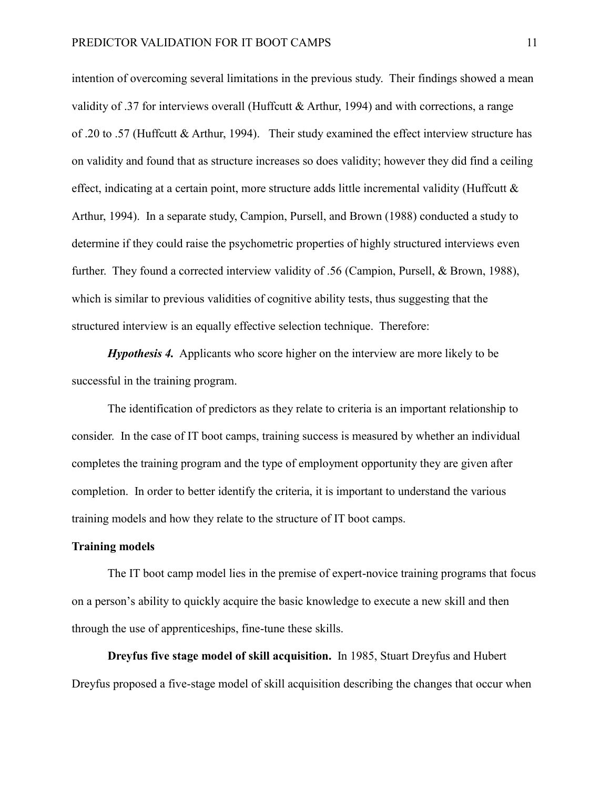intention of overcoming several limitations in the previous study. Their findings showed a mean validity of .37 for interviews overall (Huffcutt & Arthur, 1994) and with corrections, a range of .20 to .57 (Huffcutt & Arthur, 1994). Their study examined the effect interview structure has on validity and found that as structure increases so does validity; however they did find a ceiling effect, indicating at a certain point, more structure adds little incremental validity (Huffcutt & Arthur, 1994). In a separate study, Campion, Pursell, and Brown (1988) conducted a study to determine if they could raise the psychometric properties of highly structured interviews even further. They found a corrected interview validity of .56 (Campion, Pursell, & Brown, 1988), which is similar to previous validities of cognitive ability tests, thus suggesting that the structured interview is an equally effective selection technique. Therefore:

*Hypothesis 4.* Applicants who score higher on the interview are more likely to be successful in the training program.

The identification of predictors as they relate to criteria is an important relationship to consider. In the case of IT boot camps, training success is measured by whether an individual completes the training program and the type of employment opportunity they are given after completion. In order to better identify the criteria, it is important to understand the various training models and how they relate to the structure of IT boot camps.

#### <span id="page-11-0"></span>**Training models**

The IT boot camp model lies in the premise of expert-novice training programs that focus on a person's ability to quickly acquire the basic knowledge to execute a new skill and then through the use of apprenticeships, fine-tune these skills.

**Dreyfus five stage model of skill acquisition.** In 1985, Stuart Dreyfus and Hubert Dreyfus proposed a five-stage model of skill acquisition describing the changes that occur when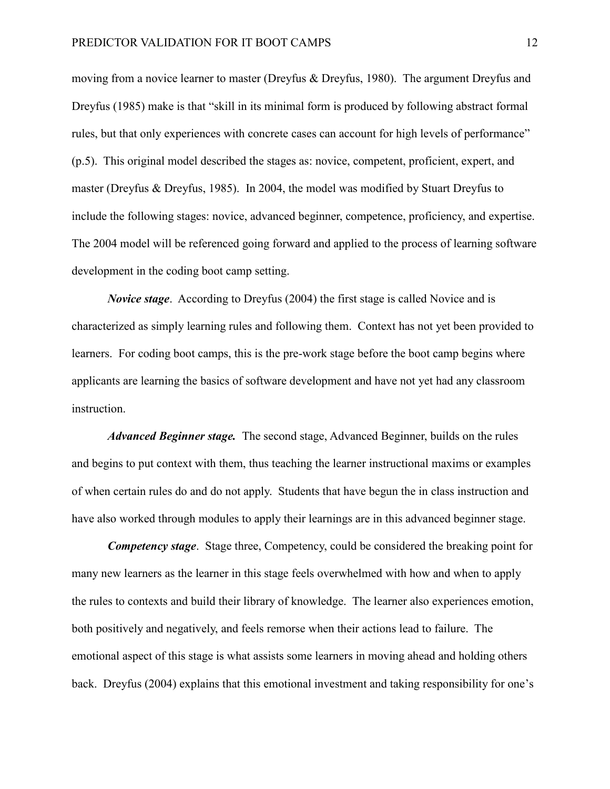moving from a novice learner to master (Dreyfus & Dreyfus, 1980). The argument Dreyfus and Dreyfus (1985) make is that "skill in its minimal form is produced by following abstract formal rules, but that only experiences with concrete cases can account for high levels of performance" (p.5). This original model described the stages as: novice, competent, proficient, expert, and master (Dreyfus & Dreyfus, 1985). In 2004, the model was modified by Stuart Dreyfus to include the following stages: novice, advanced beginner, competence, proficiency, and expertise. The 2004 model will be referenced going forward and applied to the process of learning software development in the coding boot camp setting.

*Novice stage*. According to Dreyfus (2004) the first stage is called Novice and is characterized as simply learning rules and following them. Context has not yet been provided to learners. For coding boot camps, this is the pre-work stage before the boot camp begins where applicants are learning the basics of software development and have not yet had any classroom instruction.

*Advanced Beginner stage.* The second stage, Advanced Beginner, builds on the rules and begins to put context with them, thus teaching the learner instructional maxims or examples of when certain rules do and do not apply. Students that have begun the in class instruction and have also worked through modules to apply their learnings are in this advanced beginner stage.

*Competency stage*. Stage three, Competency, could be considered the breaking point for many new learners as the learner in this stage feels overwhelmed with how and when to apply the rules to contexts and build their library of knowledge. The learner also experiences emotion, both positively and negatively, and feels remorse when their actions lead to failure. The emotional aspect of this stage is what assists some learners in moving ahead and holding others back. Dreyfus (2004) explains that this emotional investment and taking responsibility for one's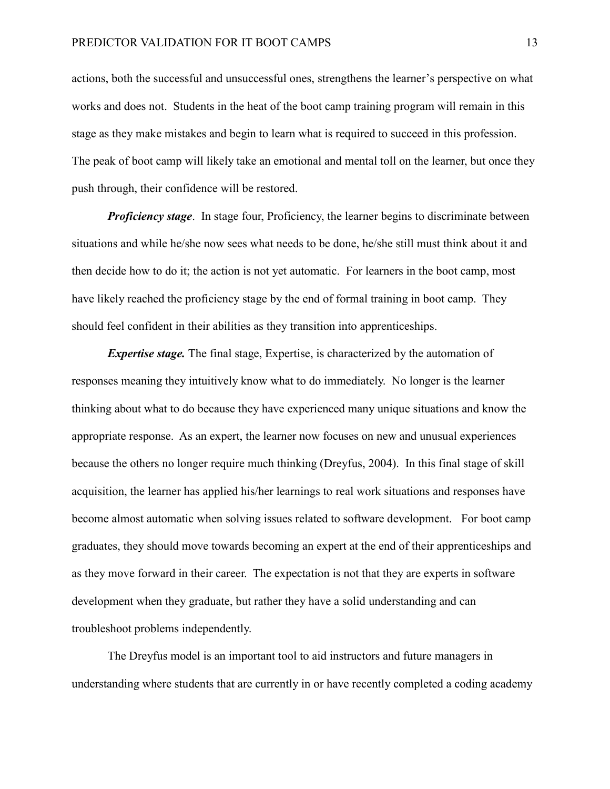actions, both the successful and unsuccessful ones, strengthens the learner's perspective on what works and does not. Students in the heat of the boot camp training program will remain in this stage as they make mistakes and begin to learn what is required to succeed in this profession. The peak of boot camp will likely take an emotional and mental toll on the learner, but once they push through, their confidence will be restored.

*Proficiency stage.* In stage four, Proficiency, the learner begins to discriminate between situations and while he/she now sees what needs to be done, he/she still must think about it and then decide how to do it; the action is not yet automatic. For learners in the boot camp, most have likely reached the proficiency stage by the end of formal training in boot camp. They should feel confident in their abilities as they transition into apprenticeships.

*Expertise stage.* The final stage, Expertise, is characterized by the automation of responses meaning they intuitively know what to do immediately. No longer is the learner thinking about what to do because they have experienced many unique situations and know the appropriate response. As an expert, the learner now focuses on new and unusual experiences because the others no longer require much thinking (Dreyfus, 2004). In this final stage of skill acquisition, the learner has applied his/her learnings to real work situations and responses have become almost automatic when solving issues related to software development. For boot camp graduates, they should move towards becoming an expert at the end of their apprenticeships and as they move forward in their career. The expectation is not that they are experts in software development when they graduate, but rather they have a solid understanding and can troubleshoot problems independently.

The Dreyfus model is an important tool to aid instructors and future managers in understanding where students that are currently in or have recently completed a coding academy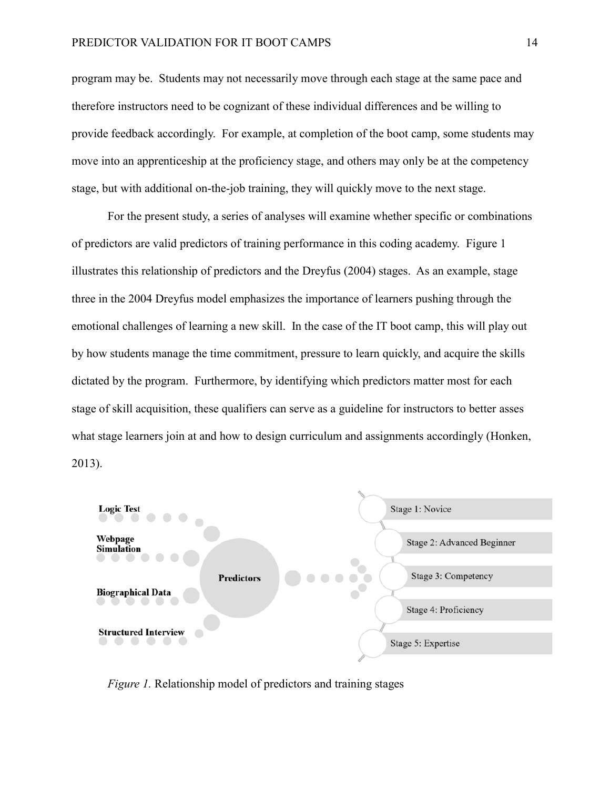#### PREDICTOR VALIDATION FOR IT BOOT CAMPS 14

program may be. Students may not necessarily move through each stage at the same pace and therefore instructors need to be cognizant of these individual differences and be willing to provide feedback accordingly. For example, at completion of the boot camp, some students may move into an apprenticeship at the proficiency stage, and others may only be at the competency stage, but with additional on-the-job training, they will quickly move to the next stage.

For the present study, a series of analyses will examine whether specific or combinations of predictors are valid predictors of training performance in this coding academy. Figure 1 illustrates this relationship of predictors and the Dreyfus (2004) stages. As an example, stage three in the 2004 Dreyfus model emphasizes the importance of learners pushing through the emotional challenges of learning a new skill. In the case of the IT boot camp, this will play out by how students manage the time commitment, pressure to learn quickly, and acquire the skills dictated by the program. Furthermore, by identifying which predictors matter most for each stage of skill acquisition, these qualifiers can serve as a guideline for instructors to better asses what stage learners join at and how to design curriculum and assignments accordingly (Honken, 2013).



*Figure 1.* Relationship model of predictors and training stages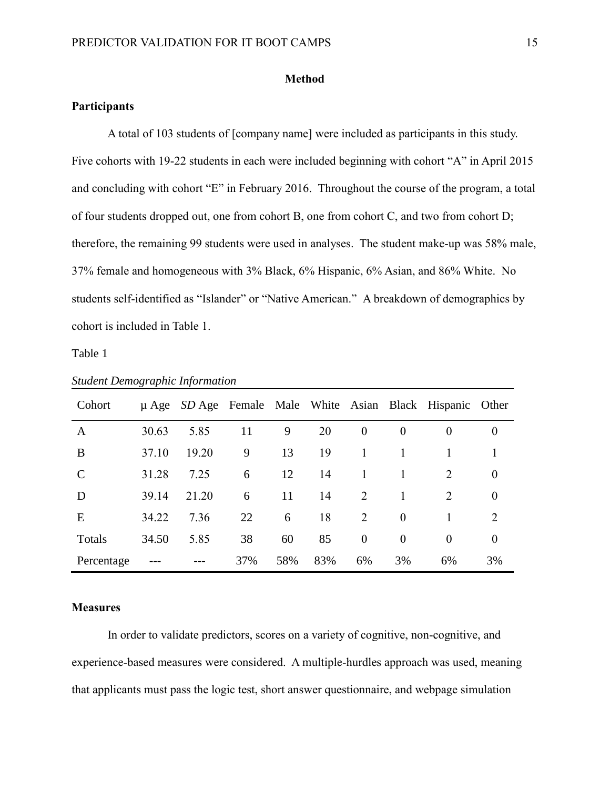#### **Method**

# <span id="page-15-1"></span><span id="page-15-0"></span>**Participants**

A total of 103 students of [company name] were included as participants in this study. Five cohorts with 19-22 students in each were included beginning with cohort "A" in April 2015 and concluding with cohort "E" in February 2016. Throughout the course of the program, a total of four students dropped out, one from cohort B, one from cohort C, and two from cohort D; therefore, the remaining 99 students were used in analyses. The student make-up was 58% male, 37% female and homogeneous with 3% Black, 6% Hispanic, 6% Asian, and 86% White. No students self-identified as "Islander" or "Native American." A breakdown of demographics by cohort is included in Table 1.

Table 1

| Cohort        |       |       |     |     |     |                  |                  | µ Age SD Age Female Male White Asian Black Hispanic Other |                |
|---------------|-------|-------|-----|-----|-----|------------------|------------------|-----------------------------------------------------------|----------------|
| A             | 30.63 | 5.85  | 11  | 9   | 20  | $\theta$         | $\boldsymbol{0}$ | $\theta$                                                  | $\theta$       |
| B             | 37.10 | 19.20 | 9   | 13  | 19  | $\overline{1}$   |                  |                                                           |                |
| $\mathcal{C}$ | 31.28 | 7.25  | 6   | 12  | 14  | $\mathbf{1}$     |                  | $\mathcal{D}_{\mathcal{L}}$                               | $\overline{0}$ |
| D             | 39.14 | 21.20 | 6   | 11  | 14  | 2                | 1                | $\mathcal{D}_{\cdot}$                                     | $\theta$       |
| E             | 34.22 | 7.36  | 22  | 6   | 18  | 2                | $\overline{0}$   |                                                           | 2              |
| Totals        | 34.50 | 5.85  | 38  | 60  | 85  | $\boldsymbol{0}$ | $\overline{0}$   | $\theta$                                                  | $\overline{0}$ |
| Percentage    |       |       | 37% | 58% | 83% | 6%               | 3%               | 6%                                                        | 3%             |

|  | <b>Student Demographic Information</b> |  |
|--|----------------------------------------|--|
|  |                                        |  |

#### <span id="page-15-2"></span>**Measures**

In order to validate predictors, scores on a variety of cognitive, non-cognitive, and experience-based measures were considered. A multiple-hurdles approach was used, meaning that applicants must pass the logic test, short answer questionnaire, and webpage simulation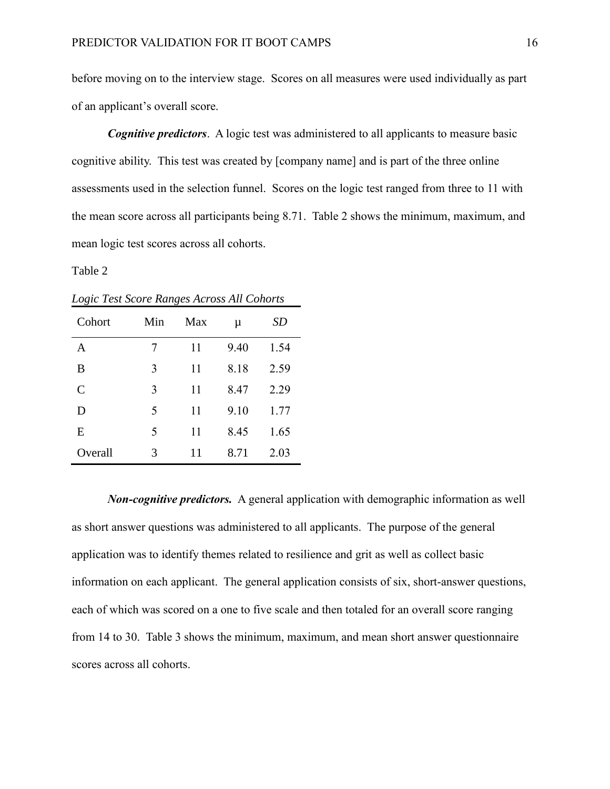before moving on to the interview stage. Scores on all measures were used individually as part of an applicant's overall score.

*Cognitive predictors.* A logic test was administered to all applicants to measure basic cognitive ability. This test was created by [company name] and is part of the three online assessments used in the selection funnel. Scores on the logic test ranged from three to 11 with the mean score across all participants being 8.71. Table 2 shows the minimum, maximum, and mean logic test scores across all cohorts.

Table 2

| Cohort  | Min | Max | μ    | SD   |
|---------|-----|-----|------|------|
| A       | 7   | 11  | 9.40 | 1.54 |
| B       | 3   | 11  | 8.18 | 2.59 |
| C       | 3   | 11  | 8.47 | 2.29 |
| D       | 5   | 11  | 9.10 | 1.77 |
| E       | 5   | 11  | 8.45 | 1.65 |
| Overall | 3   | 11  | 8.71 | 2.03 |

*Logic Test Score Ranges Across All Cohorts*

*Non-cognitive predictors.* A general application with demographic information as well as short answer questions was administered to all applicants. The purpose of the general application was to identify themes related to resilience and grit as well as collect basic information on each applicant. The general application consists of six, short-answer questions, each of which was scored on a one to five scale and then totaled for an overall score ranging from 14 to 30. Table 3 shows the minimum, maximum, and mean short answer questionnaire scores across all cohorts.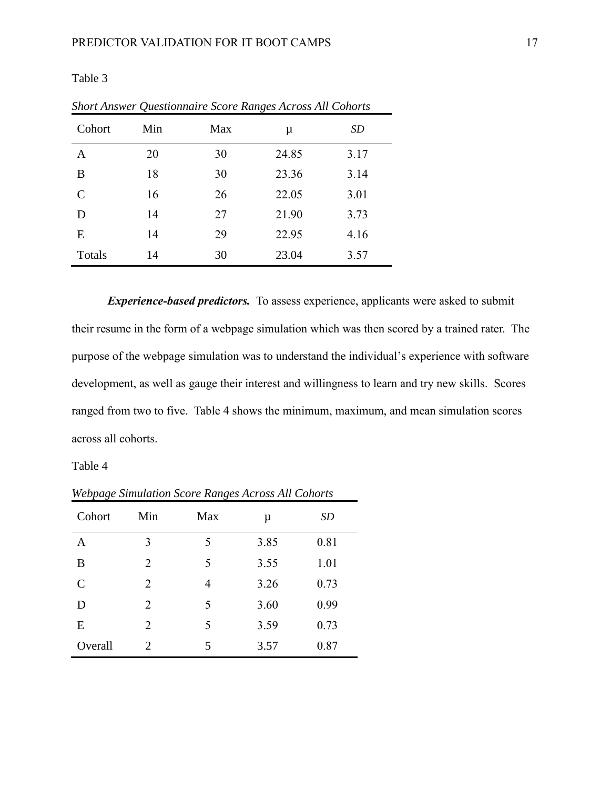$\overline{3}$ 

| Cohort        | Min | Max | …o-<br>μ | <b>SD</b> |
|---------------|-----|-----|----------|-----------|
| A             | 20  | 30  | 24.85    | 3.17      |
| B             | 18  | 30  | 23.36    | 3.14      |
| $\mathcal{C}$ | 16  | 26  | 22.05    | 3.01      |
| D             | 14  | 27  | 21.90    | 3.73      |
| E             | 14  | 29  | 22.95    | 4.16      |
| Totals        | 14  | 30  | 23.04    | 3.57      |

*Short Answer Questionnaire Score Ranges Across All Cohorts*

*Experience-based predictors.* To assess experience, applicants were asked to submit their resume in the form of a webpage simulation which was then scored by a trained rater. The purpose of the webpage simulation was to understand the individual's experience with software development, as well as gauge their interest and willingness to learn and try new skills. Scores ranged from two to five. Table 4 shows the minimum, maximum, and mean simulation scores across all cohorts.

Table 4

| Cohort  | Min | Max | μ    | SD   |
|---------|-----|-----|------|------|
| A       | 3   | 5   | 3.85 | 0.81 |
| B       | 2   | 5   | 3.55 | 1.01 |
| C       | 2   | 4   | 3.26 | 0.73 |
| D       | 2   | 5   | 3.60 | 0.99 |
| E       | 2   | 5   | 3.59 | 0.73 |
| Overall | 2   | 5   | 3.57 | 0.87 |

*Webpage Simulation Score Ranges Across All Cohorts*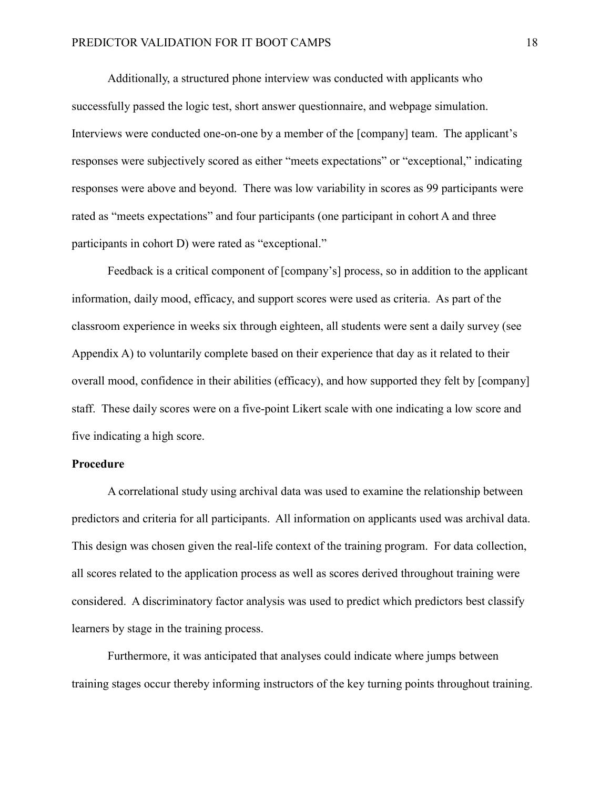Additionally, a structured phone interview was conducted with applicants who successfully passed the logic test, short answer questionnaire, and webpage simulation. Interviews were conducted one-on-one by a member of the [company] team. The applicant's responses were subjectively scored as either "meets expectations" or "exceptional," indicating responses were above and beyond. There was low variability in scores as 99 participants were rated as "meets expectations" and four participants (one participant in cohort A and three participants in cohort D) were rated as "exceptional."

Feedback is a critical component of [company's] process, so in addition to the applicant information, daily mood, efficacy, and support scores were used as criteria. As part of the classroom experience in weeks six through eighteen, all students were sent a daily survey (see Appendix A) to voluntarily complete based on their experience that day as it related to their overall mood, confidence in their abilities (efficacy), and how supported they felt by [company] staff. These daily scores were on a five-point Likert scale with one indicating a low score and five indicating a high score.

### <span id="page-18-0"></span>**Procedure**

A correlational study using archival data was used to examine the relationship between predictors and criteria for all participants. All information on applicants used was archival data. This design was chosen given the real-life context of the training program. For data collection, all scores related to the application process as well as scores derived throughout training were considered. A discriminatory factor analysis was used to predict which predictors best classify learners by stage in the training process.

Furthermore, it was anticipated that analyses could indicate where jumps between training stages occur thereby informing instructors of the key turning points throughout training.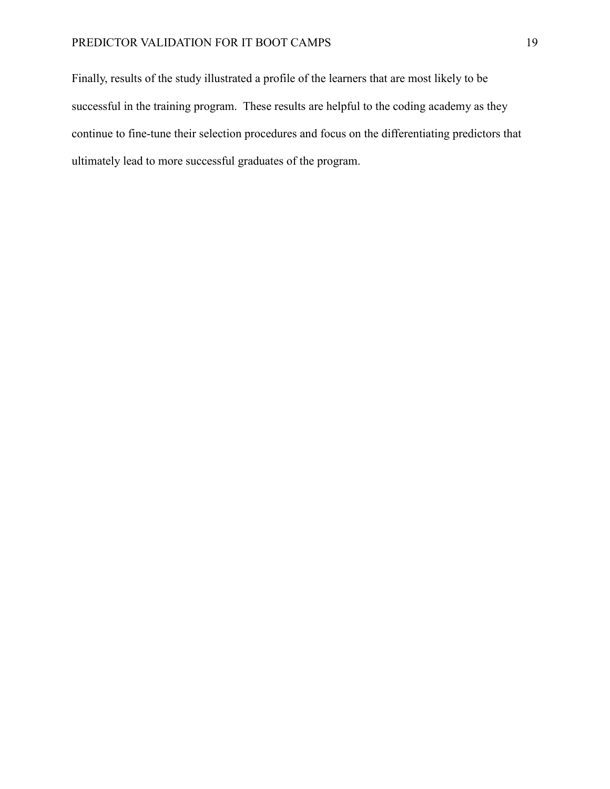Finally, results of the study illustrated a profile of the learners that are most likely to be successful in the training program. These results are helpful to the coding academy as they continue to fine-tune their selection procedures and focus on the differentiating predictors that ultimately lead to more successful graduates of the program.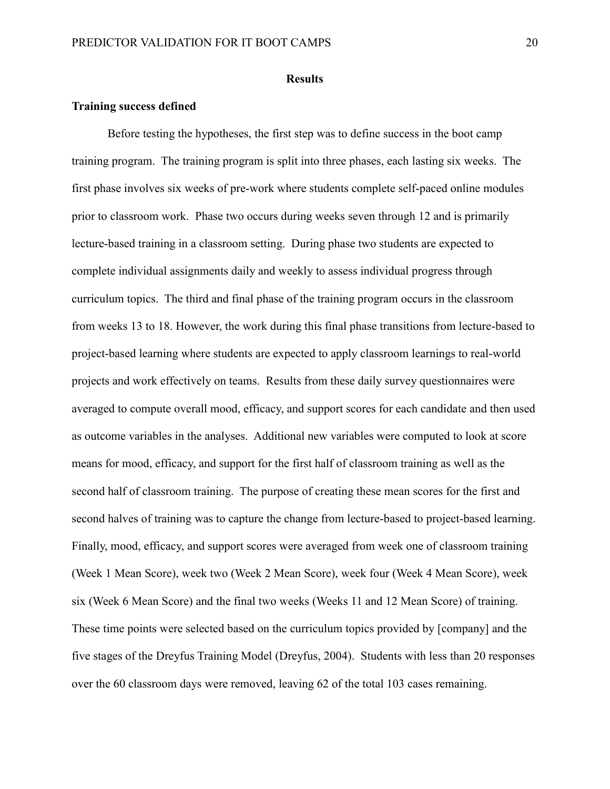#### **Results**

#### <span id="page-20-1"></span><span id="page-20-0"></span>**Training success defined**

Before testing the hypotheses, the first step was to define success in the boot camp training program. The training program is split into three phases, each lasting six weeks. The first phase involves six weeks of pre-work where students complete self-paced online modules prior to classroom work. Phase two occurs during weeks seven through 12 and is primarily lecture-based training in a classroom setting. During phase two students are expected to complete individual assignments daily and weekly to assess individual progress through curriculum topics. The third and final phase of the training program occurs in the classroom from weeks 13 to 18. However, the work during this final phase transitions from lecture-based to project-based learning where students are expected to apply classroom learnings to real-world projects and work effectively on teams. Results from these daily survey questionnaires were averaged to compute overall mood, efficacy, and support scores for each candidate and then used as outcome variables in the analyses. Additional new variables were computed to look at score means for mood, efficacy, and support for the first half of classroom training as well as the second half of classroom training. The purpose of creating these mean scores for the first and second halves of training was to capture the change from lecture-based to project-based learning. Finally, mood, efficacy, and support scores were averaged from week one of classroom training (Week 1 Mean Score), week two (Week 2 Mean Score), week four (Week 4 Mean Score), week six (Week 6 Mean Score) and the final two weeks (Weeks 11 and 12 Mean Score) of training. These time points were selected based on the curriculum topics provided by [company] and the five stages of the Dreyfus Training Model (Dreyfus, 2004). Students with less than 20 responses over the 60 classroom days were removed, leaving 62 of the total 103 cases remaining.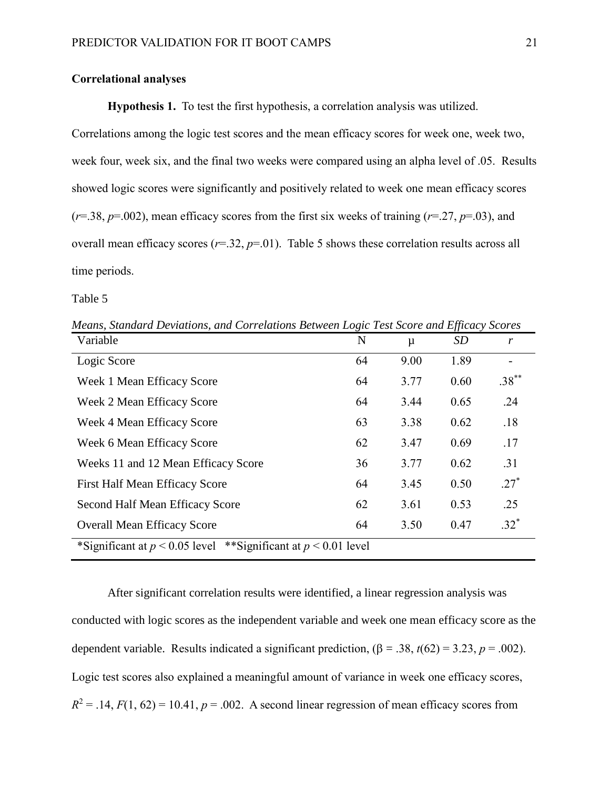#### <span id="page-21-0"></span>**Correlational analyses**

**Hypothesis 1.** To test the first hypothesis, a correlation analysis was utilized.

Correlations among the logic test scores and the mean efficacy scores for week one, week two, week four, week six, and the final two weeks were compared using an alpha level of .05. Results showed logic scores were significantly and positively related to week one mean efficacy scores (*r*=.38, *p*=.002), mean efficacy scores from the first six weeks of training (*r*=.27, *p*=.03), and overall mean efficacy scores ( $r=32$ ,  $p=01$ ). Table 5 shows these correlation results across all time periods.

Table 5

Variable N <sub>n</sub> *SD r* Logic Score 64 9.00 1.89 -Week 1 Mean Efficacy Score 64 3.77 0.60  $.38***$ Week 2 Mean Efficacy Score 64 3.44 0.65 .24 Week 4 Mean Efficacy Score 63 63 3.38 0.62 .18 Week 6 Mean Efficacy Score 62 62 3.47 0.69 .17 Weeks 11 and 12 Mean Efficacy Score  $36$   $3.77$   $0.62$   $.31$ First Half Mean Efficacy Score 64 3.45 0.50  $.27*$ Second Half Mean Efficacy Score 62 62 3.61 0.53 .25 Overall Mean Efficacy Score 64 3.50 0.47  $.32^*$ \*Significant at  $p < 0.05$  level \*\*Significant at  $p < 0.01$  level

*Means, Standard Deviations, and Correlations Between Logic Test Score and Efficacy Scores*

After significant correlation results were identified, a linear regression analysis was conducted with logic scores as the independent variable and week one mean efficacy score as the dependent variable. Results indicated a significant prediction,  $(\beta = .38, t(62) = 3.23, p = .002)$ . Logic test scores also explained a meaningful amount of variance in week one efficacy scores,  $R^2 = .14, F(1, 62) = 10.41, p = .002$ . A second linear regression of mean efficacy scores from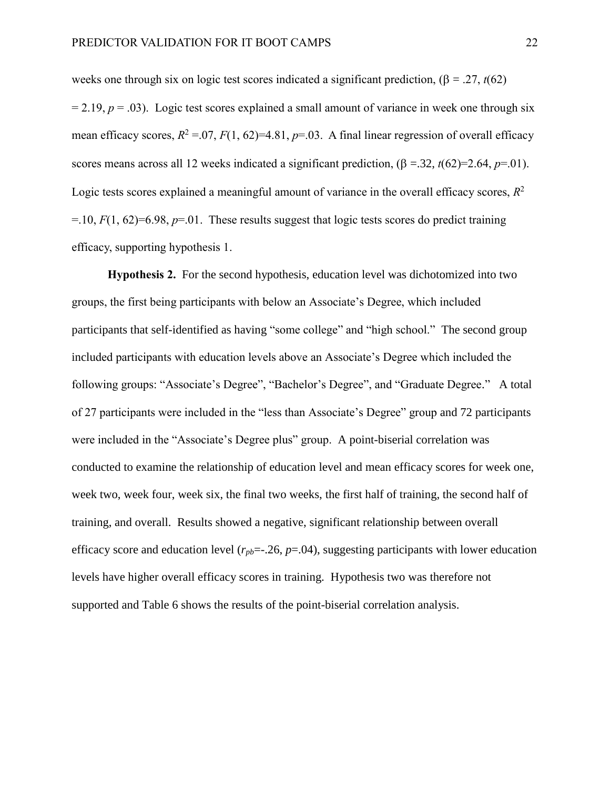weeks one through six on logic test scores indicated a significant prediction,  $(\beta = .27, t(62))$  $= 2.19, p = .03$ ). Logic test scores explained a small amount of variance in week one through six mean efficacy scores,  $R^2 = 0.07$ ,  $F(1, 62) = 4.81$ ,  $p = 0.03$ . A final linear regression of overall efficacy scores means across all 12 weeks indicated a significant prediction,  $(\beta = 32, t(62)=2.64, p=0.01)$ . Logic tests scores explained a meaningful amount of variance in the overall efficacy scores,  $R^2$  $=$ .10, *F*(1, 62) = 6.98, *p*=.01. These results suggest that logic tests scores do predict training efficacy, supporting hypothesis 1.

**Hypothesis 2.** For the second hypothesis, education level was dichotomized into two groups, the first being participants with below an Associate's Degree, which included participants that self-identified as having "some college" and "high school." The second group included participants with education levels above an Associate's Degree which included the following groups: "Associate's Degree", "Bachelor's Degree", and "Graduate Degree." A total of 27 participants were included in the "less than Associate's Degree" group and 72 participants were included in the "Associate's Degree plus" group. A point-biserial correlation was conducted to examine the relationship of education level and mean efficacy scores for week one, week two, week four, week six, the final two weeks, the first half of training, the second half of training, and overall. Results showed a negative, significant relationship between overall efficacy score and education level  $(r_{pb} = -0.26, p = 0.04)$ , suggesting participants with lower education levels have higher overall efficacy scores in training. Hypothesis two was therefore not supported and Table 6 shows the results of the point-biserial correlation analysis.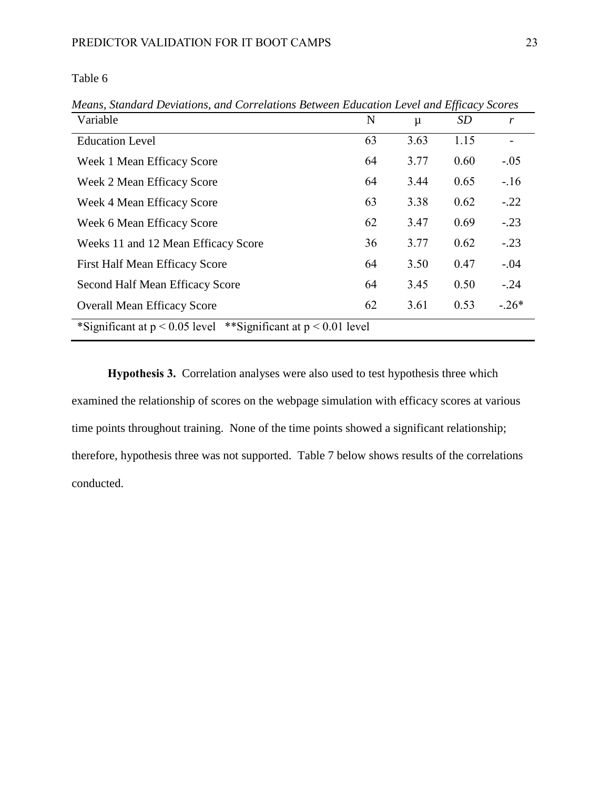| able |  |
|------|--|
|------|--|

| Variable                              | N                                 | $\mu$ | SD   | r       |  |  |  |
|---------------------------------------|-----------------------------------|-------|------|---------|--|--|--|
| <b>Education Level</b>                | 63                                | 3.63  | 1.15 |         |  |  |  |
| Week 1 Mean Efficacy Score            | 64                                | 3.77  | 0.60 | $-.05$  |  |  |  |
| Week 2 Mean Efficacy Score            | 64                                | 3.44  | 0.65 | $-.16$  |  |  |  |
| Week 4 Mean Efficacy Score            | 63                                | 3.38  | 0.62 | $-.22$  |  |  |  |
| Week 6 Mean Efficacy Score            | 62                                | 3.47  | 0.69 | $-.23$  |  |  |  |
| Weeks 11 and 12 Mean Efficacy Score   | 36                                | 3.77  | 0.62 | $-.23$  |  |  |  |
| <b>First Half Mean Efficacy Score</b> | 64                                | 3.50  | 0.47 | $-.04$  |  |  |  |
| Second Half Mean Efficacy Score       | 64                                | 3.45  | 0.50 | $-.24$  |  |  |  |
| <b>Overall Mean Efficacy Score</b>    | 62                                | 3.61  | 0.53 | $-.26*$ |  |  |  |
| *Significant at $p < 0.05$ level      | **Significant at $p < 0.01$ level |       |      |         |  |  |  |

*Means, Standard Deviations, and Correlations Between Education Level and Efficacy Scores*

**Hypothesis 3.** Correlation analyses were also used to test hypothesis three which examined the relationship of scores on the webpage simulation with efficacy scores at various time points throughout training. None of the time points showed a significant relationship; therefore, hypothesis three was not supported. Table 7 below shows results of the correlations conducted.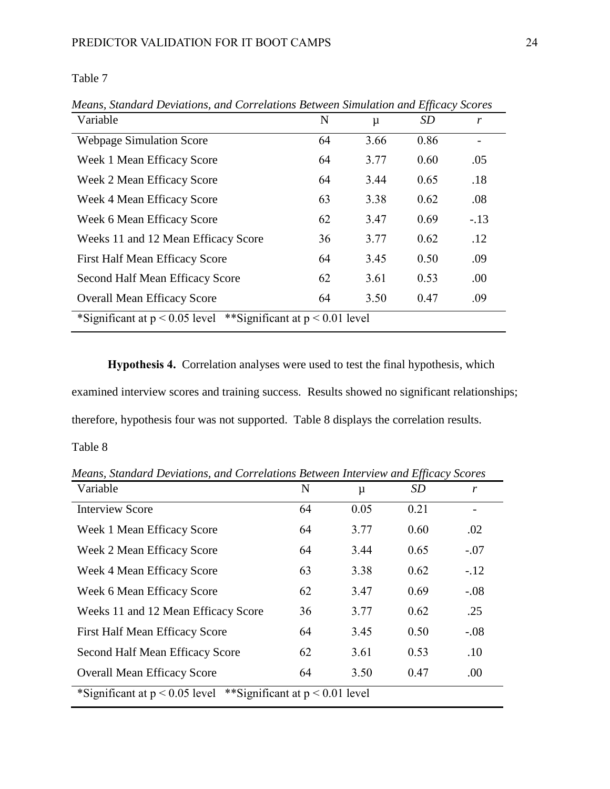## Table 7

| Variable                                                              | $\mathbf N$ | μ    | SD   | r      |
|-----------------------------------------------------------------------|-------------|------|------|--------|
| <b>Webpage Simulation Score</b>                                       | 64          | 3.66 | 0.86 |        |
| Week 1 Mean Efficacy Score                                            | 64          | 3.77 | 0.60 | .05    |
| Week 2 Mean Efficacy Score                                            | 64          | 3.44 | 0.65 | .18    |
| Week 4 Mean Efficacy Score                                            | 63          | 3.38 | 0.62 | .08    |
| Week 6 Mean Efficacy Score                                            | 62          | 3.47 | 0.69 | $-.13$ |
| Weeks 11 and 12 Mean Efficacy Score                                   | 36          | 3.77 | 0.62 | .12    |
| <b>First Half Mean Efficacy Score</b>                                 | 64          | 3.45 | 0.50 | .09    |
| Second Half Mean Efficacy Score                                       | 62          | 3.61 | 0.53 | .00    |
| <b>Overall Mean Efficacy Score</b>                                    | 64          | 3.50 | 0.47 | .09    |
| *Significant at $p < 0.05$ level<br>**Significant at $p < 0.01$ level |             |      |      |        |

*Means, Standard Deviations, and Correlations Between Simulation and Efficacy Scores*

**Hypothesis 4.** Correlation analyses were used to test the final hypothesis, which examined interview scores and training success. Results showed no significant relationships; therefore, hypothesis four was not supported. Table 8 displays the correlation results.

Table 8

*Means, Standard Deviations, and Correlations Between Interview and Efficacy Scores*

|                                                                       |    |       | IJ        |        |  |  |
|-----------------------------------------------------------------------|----|-------|-----------|--------|--|--|
| Variable                                                              | N  | $\mu$ | <b>SD</b> | r      |  |  |
| <b>Interview Score</b>                                                | 64 | 0.05  | 0.21      |        |  |  |
| Week 1 Mean Efficacy Score                                            | 64 | 3.77  | 0.60      | .02    |  |  |
| Week 2 Mean Efficacy Score                                            | 64 | 3.44  | 0.65      | $-.07$ |  |  |
| Week 4 Mean Efficacy Score                                            | 63 | 3.38  | 0.62      | $-.12$ |  |  |
| Week 6 Mean Efficacy Score                                            | 62 | 3.47  | 0.69      | $-.08$ |  |  |
| Weeks 11 and 12 Mean Efficacy Score                                   | 36 | 3.77  | 0.62      | .25    |  |  |
| <b>First Half Mean Efficacy Score</b>                                 | 64 | 3.45  | 0.50      | $-.08$ |  |  |
| Second Half Mean Efficacy Score                                       | 62 | 3.61  | 0.53      | .10    |  |  |
| <b>Overall Mean Efficacy Score</b>                                    | 64 | 3.50  | 0.47      | .00    |  |  |
| *Significant at $p < 0.05$ level<br>**Significant at $p < 0.01$ level |    |       |           |        |  |  |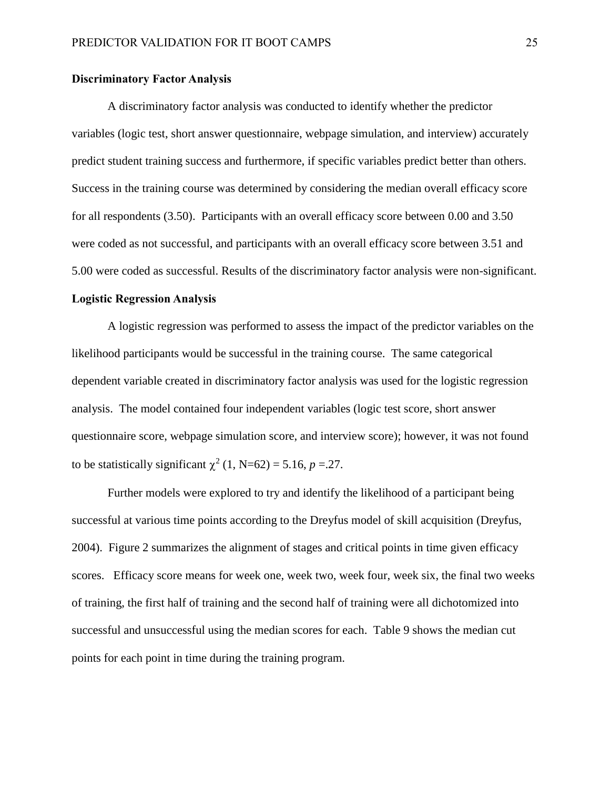#### <span id="page-25-0"></span>**Discriminatory Factor Analysis**

A discriminatory factor analysis was conducted to identify whether the predictor variables (logic test, short answer questionnaire, webpage simulation, and interview) accurately predict student training success and furthermore, if specific variables predict better than others. Success in the training course was determined by considering the median overall efficacy score for all respondents (3.50). Participants with an overall efficacy score between 0.00 and 3.50 were coded as not successful, and participants with an overall efficacy score between 3.51 and 5.00 were coded as successful. Results of the discriminatory factor analysis were non-significant.

#### <span id="page-25-1"></span>**Logistic Regression Analysis**

A logistic regression was performed to assess the impact of the predictor variables on the likelihood participants would be successful in the training course. The same categorical dependent variable created in discriminatory factor analysis was used for the logistic regression analysis. The model contained four independent variables (logic test score, short answer questionnaire score, webpage simulation score, and interview score); however, it was not found to be statistically significant  $\chi^2$  (1, N=62) = 5.16, *p* = 27.

Further models were explored to try and identify the likelihood of a participant being successful at various time points according to the Dreyfus model of skill acquisition (Dreyfus, 2004). Figure 2 summarizes the alignment of stages and critical points in time given efficacy scores. Efficacy score means for week one, week two, week four, week six, the final two weeks of training, the first half of training and the second half of training were all dichotomized into successful and unsuccessful using the median scores for each. Table 9 shows the median cut points for each point in time during the training program.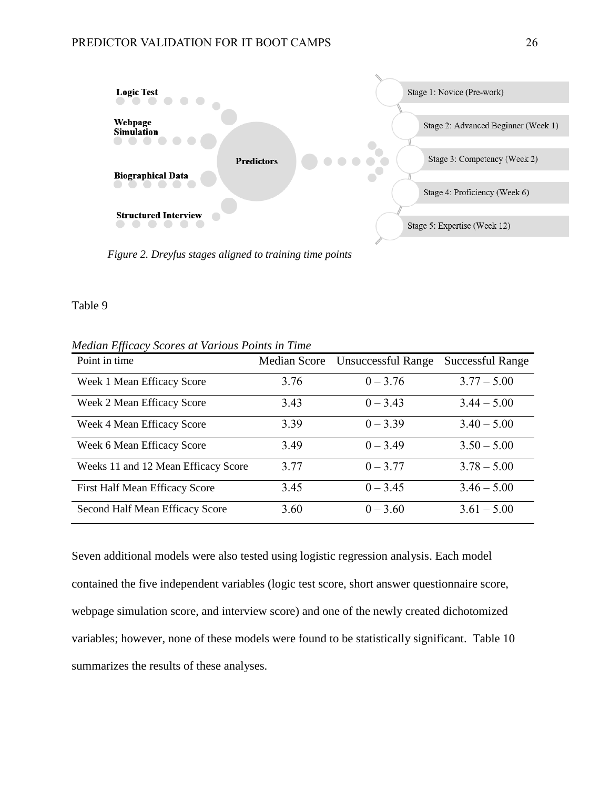

*Figure 2. Dreyfus stages aligned to training time points*

Table 9

| Point in time                       |      | Median Score Unsuccessful Range | <b>Successful Range</b> |
|-------------------------------------|------|---------------------------------|-------------------------|
| Week 1 Mean Efficacy Score          | 3.76 | $0 - 3.76$                      | $3.77 - 5.00$           |
| Week 2 Mean Efficacy Score          | 3.43 | $0 - 3.43$                      | $3.44 - 5.00$           |
| Week 4 Mean Efficacy Score          | 3.39 | $0 - 3.39$                      | $3.40 - 5.00$           |
| Week 6 Mean Efficacy Score          | 3.49 | $0 - 3.49$                      | $3.50 - 5.00$           |
| Weeks 11 and 12 Mean Efficacy Score | 3.77 | $0 - 3.77$                      | $3.78 - 5.00$           |
| First Half Mean Efficacy Score      | 3.45 | $0 - 3.45$                      | $3.46 - 5.00$           |
| Second Half Mean Efficacy Score     | 3.60 | $0 - 3.60$                      | $3.61 - 5.00$           |

*Median Efficacy Scores at Various Points in Time*

Seven additional models were also tested using logistic regression analysis. Each model contained the five independent variables (logic test score, short answer questionnaire score, webpage simulation score, and interview score) and one of the newly created dichotomized variables; however, none of these models were found to be statistically significant. Table 10 summarizes the results of these analyses.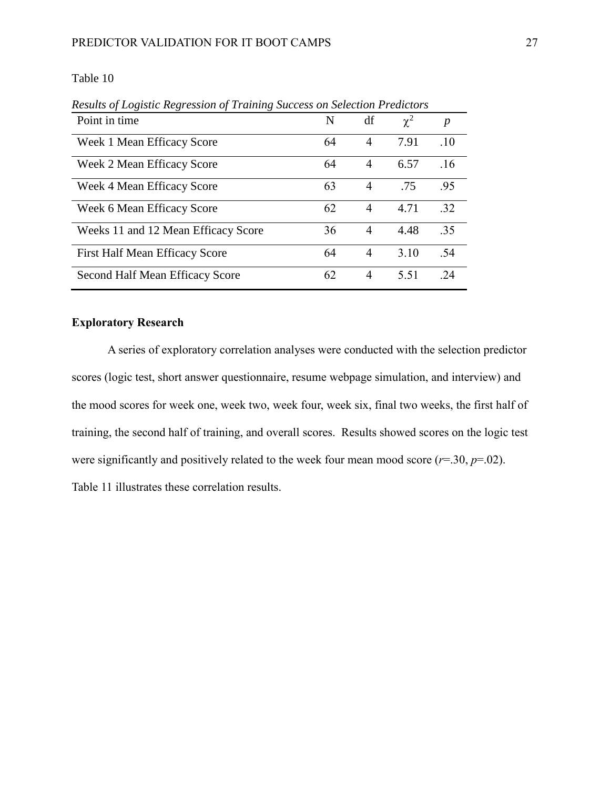# Table 10

| ັ<br>$\checkmark$                     |    |                |          |     |
|---------------------------------------|----|----------------|----------|-----|
| Point in time                         | N  | df             | $\chi^2$ | p   |
| Week 1 Mean Efficacy Score            | 64 | 4              | 7.91     | .10 |
| Week 2 Mean Efficacy Score            | 64 | $\overline{4}$ | 6.57     | .16 |
| Week 4 Mean Efficacy Score            | 63 | $\overline{4}$ | .75      | .95 |
| Week 6 Mean Efficacy Score            | 62 | $\overline{4}$ | 4.71     | .32 |
| Weeks 11 and 12 Mean Efficacy Score   | 36 | $\overline{4}$ | 4.48     | .35 |
| <b>First Half Mean Efficacy Score</b> | 64 | 4              | 3.10     | .54 |
| Second Half Mean Efficacy Score       | 62 | 4              | 5.51     | .24 |

*Results of Logistic Regression of Training Success on Selection Predictors*

## <span id="page-27-0"></span>**Exploratory Research**

A series of exploratory correlation analyses were conducted with the selection predictor scores (logic test, short answer questionnaire, resume webpage simulation, and interview) and the mood scores for week one, week two, week four, week six, final two weeks, the first half of training, the second half of training, and overall scores. Results showed scores on the logic test were significantly and positively related to the week four mean mood score (*r*=.30, *p*=.02). Table 11 illustrates these correlation results.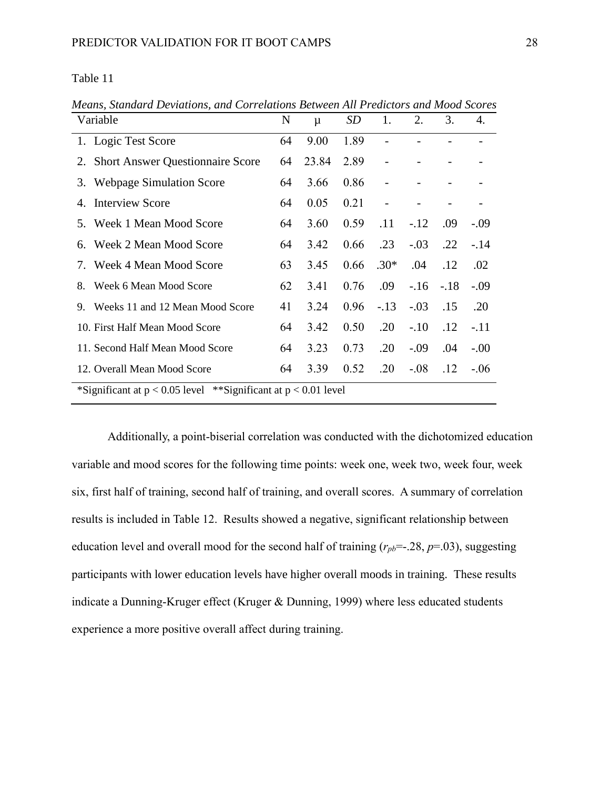| anie |  |
|------|--|
|      |  |

| Variable                                                              | N  | $\mu$ | SD   | 1.                       | 2.     | 3.     | 4.     |
|-----------------------------------------------------------------------|----|-------|------|--------------------------|--------|--------|--------|
| 1. Logic Test Score                                                   | 64 | 9.00  | 1.89 |                          |        |        |        |
| <b>Short Answer Questionnaire Score</b><br>2.                         | 64 | 23.84 | 2.89 |                          |        |        |        |
| <b>Webpage Simulation Score</b><br>3.                                 | 64 | 3.66  | 0.86 | $\overline{\phantom{0}}$ |        |        |        |
| <b>Interview Score</b><br>4.                                          | 64 | 0.05  | 0.21 |                          |        |        |        |
| Week 1 Mean Mood Score<br>5.                                          | 64 | 3.60  | 0.59 | .11                      | $-.12$ | .09    | $-.09$ |
| Week 2 Mean Mood Score<br>6.                                          | 64 | 3.42  | 0.66 | .23                      | $-.03$ | .22    | $-.14$ |
| Week 4 Mean Mood Score<br>$7_{\scriptscriptstyle{\circ}}$             | 63 | 3.45  | 0.66 | $.30*$                   | .04    | .12    | .02    |
| Week 6 Mean Mood Score<br>8.                                          | 62 | 3.41  | 0.76 | .09                      | $-.16$ | $-.18$ | $-.09$ |
| Weeks 11 and 12 Mean Mood Score<br>9.                                 | 41 | 3.24  | 0.96 | $-.13$                   | $-.03$ | .15    | .20    |
| 10. First Half Mean Mood Score                                        | 64 | 3.42  | 0.50 | .20                      | $-.10$ | .12    | $-.11$ |
| 11. Second Half Mean Mood Score                                       | 64 | 3.23  | 0.73 | .20                      | $-.09$ | .04    | $-.00$ |
| 12. Overall Mean Mood Score                                           | 64 | 3.39  | 0.52 | .20                      | $-.08$ | .12    | $-.06$ |
| *Significant at $p < 0.05$ level<br>**Significant at $p < 0.01$ level |    |       |      |                          |        |        |        |

*Means, Standard Deviations, and Correlations Between All Predictors and Mood Scores*

Additionally, a point-biserial correlation was conducted with the dichotomized education variable and mood scores for the following time points: week one, week two, week four, week six, first half of training, second half of training, and overall scores. A summary of correlation results is included in Table 12. Results showed a negative, significant relationship between education level and overall mood for the second half of training  $(r_{pb} = .28, p = .03)$ , suggesting participants with lower education levels have higher overall moods in training. These results indicate a Dunning-Kruger effect (Kruger & Dunning, 1999) where less educated students experience a more positive overall affect during training.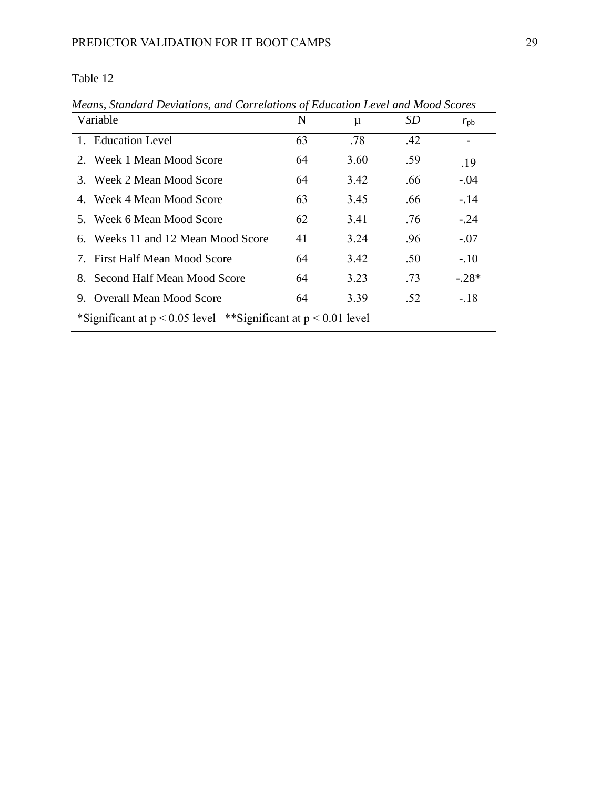# Table 12

| Variable                           | N  | μ    | <i>SD</i> | $r_{\rm pb}$ |
|------------------------------------|----|------|-----------|--------------|
| 1. Education Level                 | 63 | .78  | .42       |              |
| 2. Week 1 Mean Mood Score          | 64 | 3.60 | .59       | .19          |
| 3. Week 2 Mean Mood Score          | 64 | 3.42 | .66       | $-.04$       |
| 4. Week 4 Mean Mood Score          | 63 | 3.45 | .66       | $-.14$       |
| 5. Week 6 Mean Mood Score          | 62 | 3.41 | .76       | $-.24$       |
| 6. Weeks 11 and 12 Mean Mood Score | 41 | 3.24 | .96       | $-.07$       |
| 7. First Half Mean Mood Score      | 64 | 3.42 | .50       | $-.10$       |
| 8. Second Half Mean Mood Score     | 64 | 3.23 | .73       | $-.28*$      |
| 9. Overall Mean Mood Score         | 64 | 3.39 | .52       | $-.18$       |

*Means, Standard Deviations, and Correlations of Education Level and Mood Scores*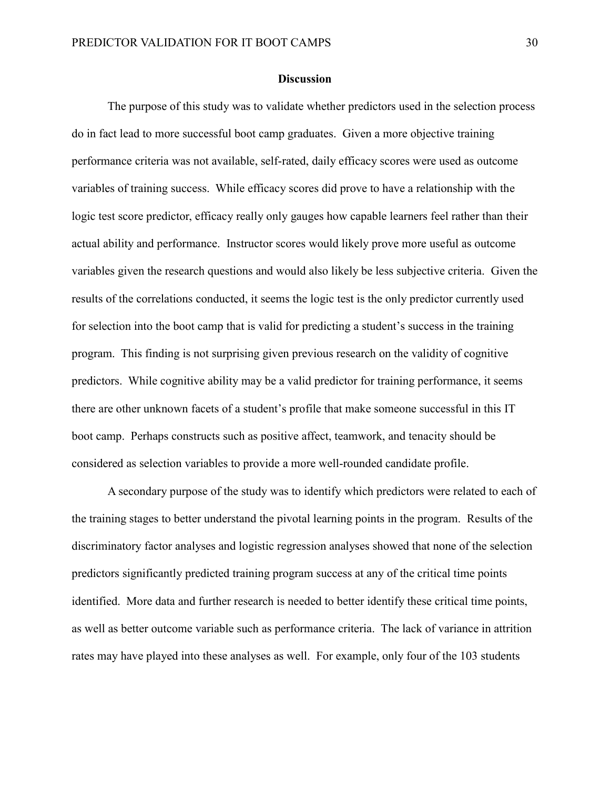#### **Discussion**

<span id="page-30-0"></span>The purpose of this study was to validate whether predictors used in the selection process do in fact lead to more successful boot camp graduates. Given a more objective training performance criteria was not available, self-rated, daily efficacy scores were used as outcome variables of training success. While efficacy scores did prove to have a relationship with the logic test score predictor, efficacy really only gauges how capable learners feel rather than their actual ability and performance. Instructor scores would likely prove more useful as outcome variables given the research questions and would also likely be less subjective criteria. Given the results of the correlations conducted, it seems the logic test is the only predictor currently used for selection into the boot camp that is valid for predicting a student's success in the training program. This finding is not surprising given previous research on the validity of cognitive predictors. While cognitive ability may be a valid predictor for training performance, it seems there are other unknown facets of a student's profile that make someone successful in this IT boot camp. Perhaps constructs such as positive affect, teamwork, and tenacity should be considered as selection variables to provide a more well-rounded candidate profile.

A secondary purpose of the study was to identify which predictors were related to each of the training stages to better understand the pivotal learning points in the program. Results of the discriminatory factor analyses and logistic regression analyses showed that none of the selection predictors significantly predicted training program success at any of the critical time points identified. More data and further research is needed to better identify these critical time points, as well as better outcome variable such as performance criteria. The lack of variance in attrition rates may have played into these analyses as well. For example, only four of the 103 students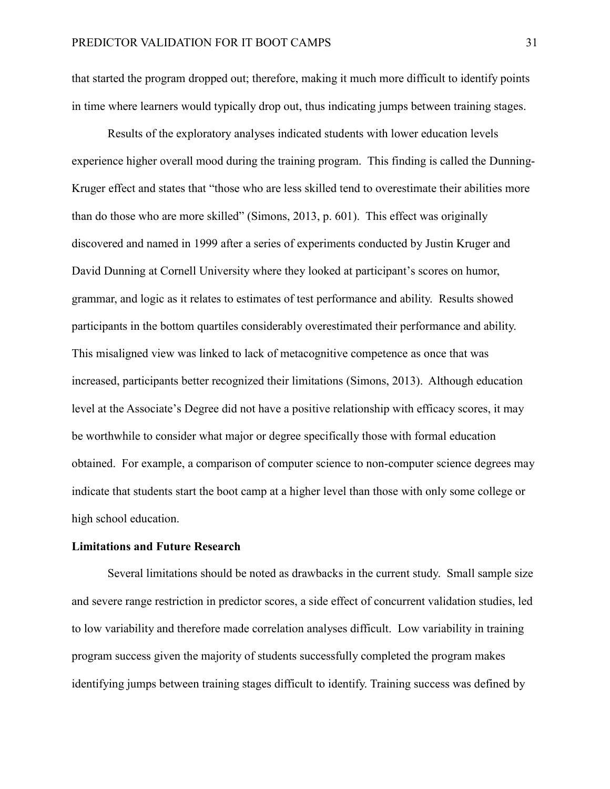that started the program dropped out; therefore, making it much more difficult to identify points in time where learners would typically drop out, thus indicating jumps between training stages.

Results of the exploratory analyses indicated students with lower education levels experience higher overall mood during the training program. This finding is called the Dunning-Kruger effect and states that "those who are less skilled tend to overestimate their abilities more than do those who are more skilled" (Simons, 2013, p. 601). This effect was originally discovered and named in 1999 after a series of experiments conducted by Justin Kruger and David Dunning at Cornell University where they looked at participant's scores on humor, grammar, and logic as it relates to estimates of test performance and ability. Results showed participants in the bottom quartiles considerably overestimated their performance and ability. This misaligned view was linked to lack of metacognitive competence as once that was increased, participants better recognized their limitations (Simons, 2013). Although education level at the Associate's Degree did not have a positive relationship with efficacy scores, it may be worthwhile to consider what major or degree specifically those with formal education obtained. For example, a comparison of computer science to non-computer science degrees may indicate that students start the boot camp at a higher level than those with only some college or high school education.

#### <span id="page-31-0"></span>**Limitations and Future Research**

Several limitations should be noted as drawbacks in the current study. Small sample size and severe range restriction in predictor scores, a side effect of concurrent validation studies, led to low variability and therefore made correlation analyses difficult. Low variability in training program success given the majority of students successfully completed the program makes identifying jumps between training stages difficult to identify. Training success was defined by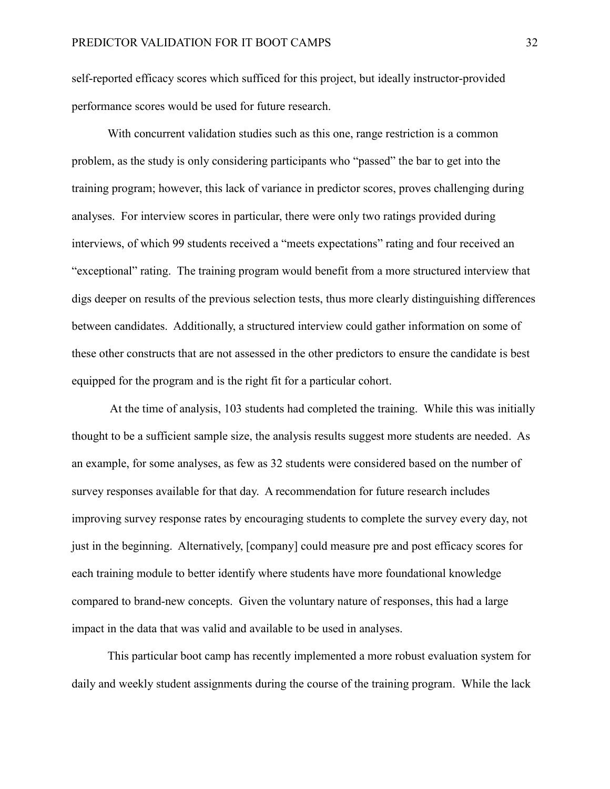self-reported efficacy scores which sufficed for this project, but ideally instructor-provided performance scores would be used for future research.

With concurrent validation studies such as this one, range restriction is a common problem, as the study is only considering participants who "passed" the bar to get into the training program; however, this lack of variance in predictor scores, proves challenging during analyses. For interview scores in particular, there were only two ratings provided during interviews, of which 99 students received a "meets expectations" rating and four received an "exceptional" rating. The training program would benefit from a more structured interview that digs deeper on results of the previous selection tests, thus more clearly distinguishing differences between candidates. Additionally, a structured interview could gather information on some of these other constructs that are not assessed in the other predictors to ensure the candidate is best equipped for the program and is the right fit for a particular cohort.

At the time of analysis, 103 students had completed the training. While this was initially thought to be a sufficient sample size, the analysis results suggest more students are needed. As an example, for some analyses, as few as 32 students were considered based on the number of survey responses available for that day. A recommendation for future research includes improving survey response rates by encouraging students to complete the survey every day, not just in the beginning. Alternatively, [company] could measure pre and post efficacy scores for each training module to better identify where students have more foundational knowledge compared to brand-new concepts. Given the voluntary nature of responses, this had a large impact in the data that was valid and available to be used in analyses.

This particular boot camp has recently implemented a more robust evaluation system for daily and weekly student assignments during the course of the training program. While the lack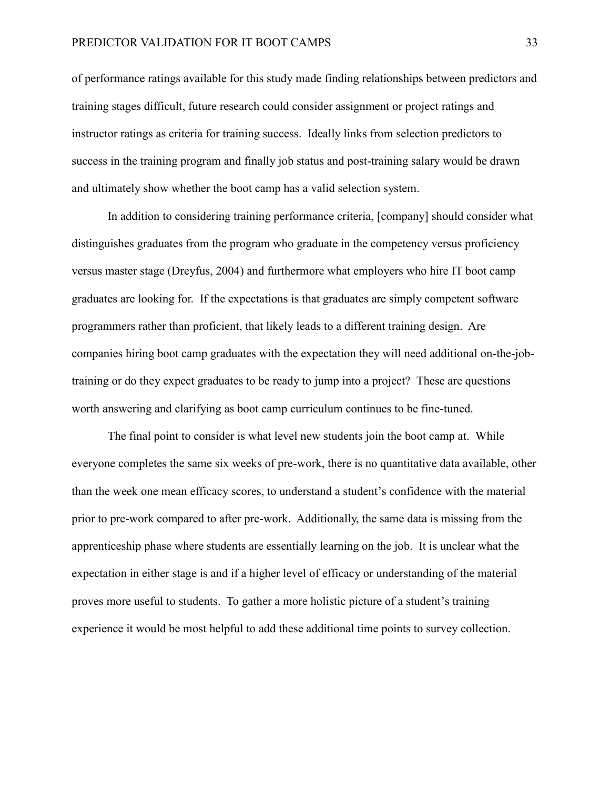of performance ratings available for this study made finding relationships between predictors and training stages difficult, future research could consider assignment or project ratings and instructor ratings as criteria for training success. Ideally links from selection predictors to success in the training program and finally job status and post-training salary would be drawn and ultimately show whether the boot camp has a valid selection system.

In addition to considering training performance criteria, [company] should consider what distinguishes graduates from the program who graduate in the competency versus proficiency versus master stage (Dreyfus, 2004) and furthermore what employers who hire IT boot camp graduates are looking for. If the expectations is that graduates are simply competent software programmers rather than proficient, that likely leads to a different training design. Are companies hiring boot camp graduates with the expectation they will need additional on-the-jobtraining or do they expect graduates to be ready to jump into a project? These are questions worth answering and clarifying as boot camp curriculum continues to be fine-tuned.

The final point to consider is what level new students join the boot camp at. While everyone completes the same six weeks of pre-work, there is no quantitative data available, other than the week one mean efficacy scores, to understand a student's confidence with the material prior to pre-work compared to after pre-work. Additionally, the same data is missing from the apprenticeship phase where students are essentially learning on the job. It is unclear what the expectation in either stage is and if a higher level of efficacy or understanding of the material proves more useful to students. To gather a more holistic picture of a student's training experience it would be most helpful to add these additional time points to survey collection.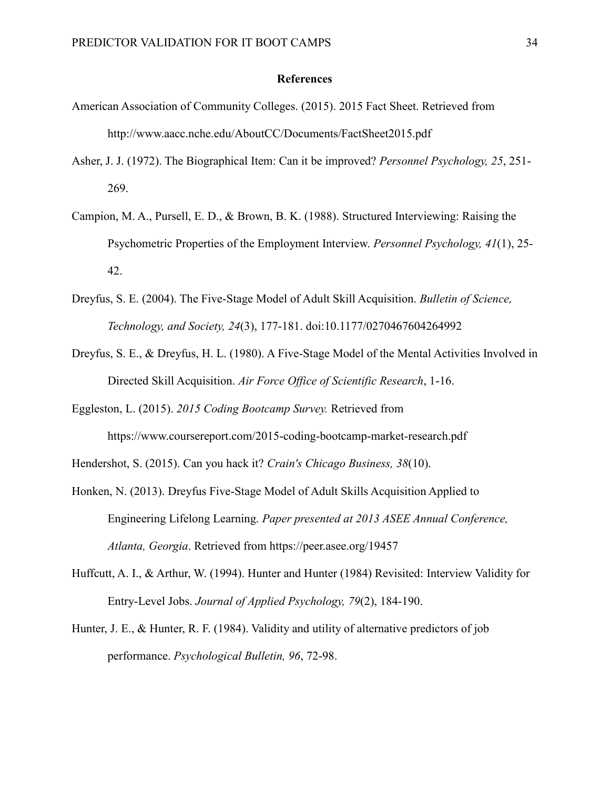#### <span id="page-34-0"></span>**References**

- American Association of Community Colleges. (2015). 2015 Fact Sheet. Retrieved from http://www.aacc.nche.edu/AboutCC/Documents/FactSheet2015.pdf
- Asher, J. J. (1972). The Biographical Item: Can it be improved? *Personnel Psychology, 25*, 251- 269.
- Campion, M. A., Pursell, E. D., & Brown, B. K. (1988). Structured Interviewing: Raising the Psychometric Properties of the Employment Interview. *Personnel Psychology, 41*(1), 25- 42.
- Dreyfus, S. E. (2004). The Five-Stage Model of Adult Skill Acquisition. *Bulletin of Science, Technology, and Society, 24*(3), 177-181. doi:10.1177/0270467604264992
- Dreyfus, S. E., & Dreyfus, H. L. (1980). A Five-Stage Model of the Mental Activities Involved in Directed Skill Acquisition. *Air Force Office of Scientific Research*, 1-16.
- Eggleston, L. (2015). *2015 Coding Bootcamp Survey.* Retrieved from https://www.coursereport.com/2015-coding-bootcamp-market-research.pdf
- Hendershot, S. (2015). Can you hack it? *Crain's Chicago Business, 38*(10).
- Honken, N. (2013). Dreyfus Five-Stage Model of Adult Skills Acquisition Applied to Engineering Lifelong Learning. *Paper presented at 2013 ASEE Annual Conference, Atlanta, Georgia*. Retrieved from https://peer.asee.org/19457
- Huffcutt, A. I., & Arthur, W. (1994). Hunter and Hunter (1984) Revisited: Interview Validity for Entry-Level Jobs. *Journal of Applied Psychology, 79*(2), 184-190.
- Hunter, J. E., & Hunter, R. F. (1984). Validity and utility of alternative predictors of job performance. *Psychological Bulletin, 96*, 72-98.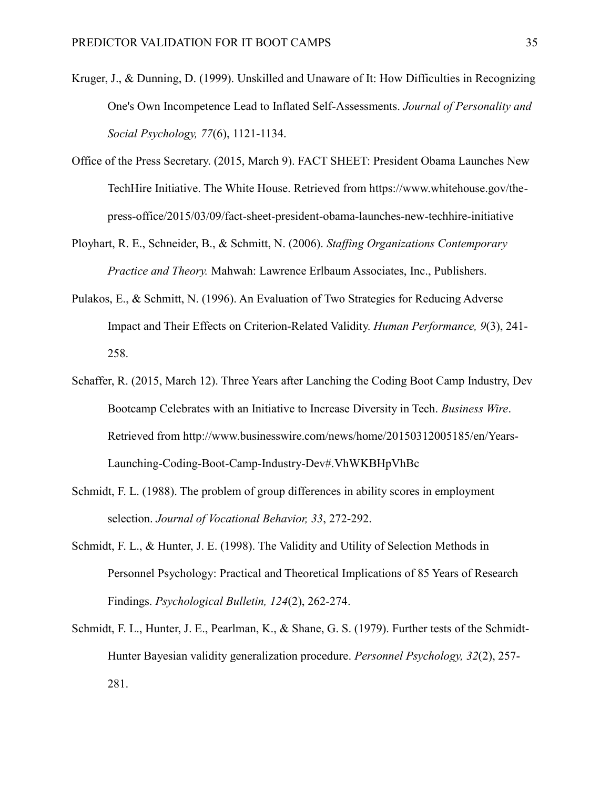- Kruger, J., & Dunning, D. (1999). Unskilled and Unaware of It: How Difficulties in Recognizing One's Own Incompetence Lead to Inflated Self-Assessments. *Journal of Personality and Social Psychology, 77*(6), 1121-1134.
- Office of the Press Secretary. (2015, March 9). FACT SHEET: President Obama Launches New TechHire Initiative. The White House. Retrieved from https://www.whitehouse.gov/thepress-office/2015/03/09/fact-sheet-president-obama-launches-new-techhire-initiative
- Ployhart, R. E., Schneider, B., & Schmitt, N. (2006). *Staffing Organizations Contemporary Practice and Theory.* Mahwah: Lawrence Erlbaum Associates, Inc., Publishers.
- Pulakos, E., & Schmitt, N. (1996). An Evaluation of Two Strategies for Reducing Adverse Impact and Their Effects on Criterion-Related Validity. *Human Performance, 9*(3), 241- 258.
- Schaffer, R. (2015, March 12). Three Years after Lanching the Coding Boot Camp Industry, Dev Bootcamp Celebrates with an Initiative to Increase Diversity in Tech. *Business Wire*. Retrieved from http://www.businesswire.com/news/home/20150312005185/en/Years-Launching-Coding-Boot-Camp-Industry-Dev#.VhWKBHpVhBc
- Schmidt, F. L. (1988). The problem of group differences in ability scores in employment selection. *Journal of Vocational Behavior, 33*, 272-292.
- Schmidt, F. L., & Hunter, J. E. (1998). The Validity and Utility of Selection Methods in Personnel Psychology: Practical and Theoretical Implications of 85 Years of Research Findings. *Psychological Bulletin, 124*(2), 262-274.
- Schmidt, F. L., Hunter, J. E., Pearlman, K., & Shane, G. S. (1979). Further tests of the Schmidt-Hunter Bayesian validity generalization procedure. *Personnel Psychology, 32*(2), 257- 281.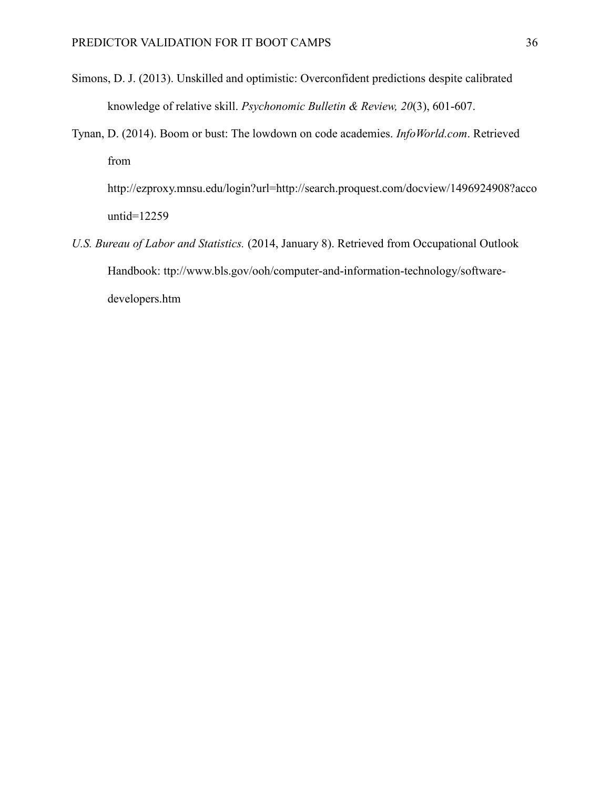- Simons, D. J. (2013). Unskilled and optimistic: Overconfident predictions despite calibrated knowledge of relative skill. *Psychonomic Bulletin & Review, 20*(3), 601-607.
- Tynan, D. (2014). Boom or bust: The lowdown on code academies. *InfoWorld.com*. Retrieved from

http://ezproxy.mnsu.edu/login?url=http://search.proquest.com/docview/1496924908?acco untid=12259

*U.S. Bureau of Labor and Statistics.* (2014, January 8). Retrieved from Occupational Outlook Handbook: ttp://www.bls.gov/ooh/computer-and-information-technology/softwaredevelopers.htm